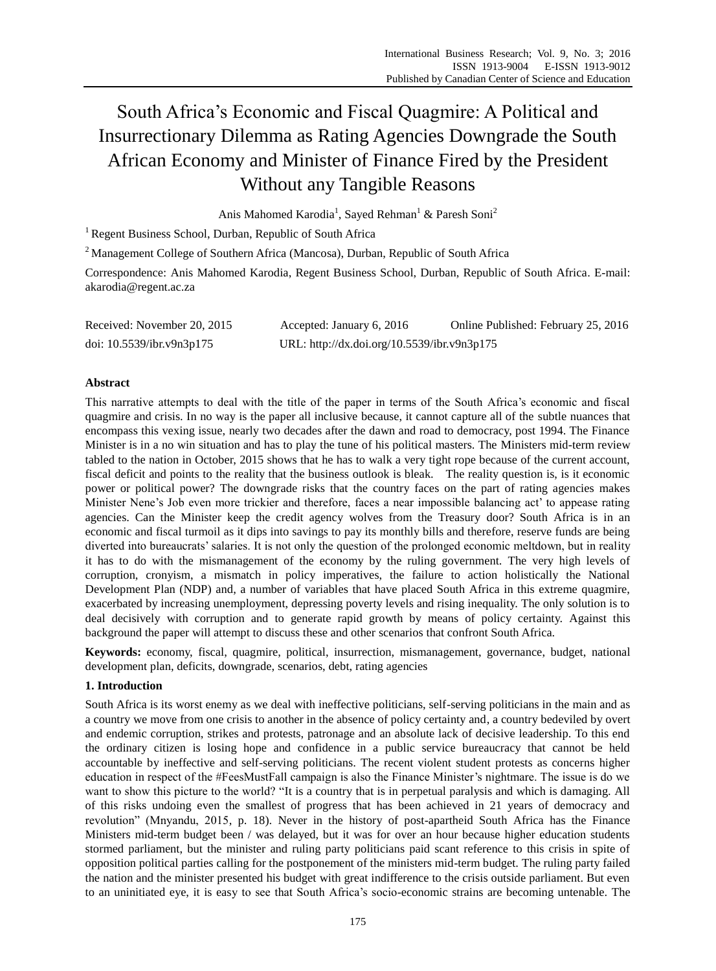# South Africa's Economic and Fiscal Quagmire: A Political and Insurrectionary Dilemma as Rating Agencies Downgrade the South African Economy and Minister of Finance Fired by the President Without any Tangible Reasons

Anis Mahomed Karodia<sup>1</sup>, Sayed Rehman<sup>1</sup> & Paresh Soni<sup>2</sup>

<sup>1</sup> Regent Business School, Durban, Republic of South Africa

<sup>2</sup> Management College of Southern Africa (Mancosa), Durban, Republic of South Africa

Correspondence: Anis Mahomed Karodia, Regent Business School, Durban, Republic of South Africa. E-mail: akarodia@regent.ac.za

| Received: November 20, 2015  | Accepted: January 6, 2016                   | Online Published: February 25, 2016 |
|------------------------------|---------------------------------------------|-------------------------------------|
| doi: $10.5539$ /ibr.v9n3p175 | URL: http://dx.doi.org/10.5539/ibr.v9n3p175 |                                     |

## **Abstract**

This narrative attempts to deal with the title of the paper in terms of the South Africa's economic and fiscal quagmire and crisis. In no way is the paper all inclusive because, it cannot capture all of the subtle nuances that encompass this vexing issue, nearly two decades after the dawn and road to democracy, post 1994. The Finance Minister is in a no win situation and has to play the tune of his political masters. The Ministers mid-term review tabled to the nation in October, 2015 shows that he has to walk a very tight rope because of the current account, fiscal deficit and points to the reality that the business outlook is bleak. The reality question is, is it economic power or political power? The downgrade risks that the country faces on the part of rating agencies makes Minister Nene's Job even more trickier and therefore, faces a near impossible balancing act' to appease rating agencies. Can the Minister keep the credit agency wolves from the Treasury door? South Africa is in an economic and fiscal turmoil as it dips into savings to pay its monthly bills and therefore, reserve funds are being diverted into bureaucrats' salaries. It is not only the question of the prolonged economic meltdown, but in reality it has to do with the mismanagement of the economy by the ruling government. The very high levels of corruption, cronyism, a mismatch in policy imperatives, the failure to action holistically the National Development Plan (NDP) and, a number of variables that have placed South Africa in this extreme quagmire, exacerbated by increasing unemployment, depressing poverty levels and rising inequality. The only solution is to deal decisively with corruption and to generate rapid growth by means of policy certainty. Against this background the paper will attempt to discuss these and other scenarios that confront South Africa.

**Keywords:** economy, fiscal, quagmire, political, insurrection, mismanagement, governance, budget, national development plan, deficits, downgrade, scenarios, debt, rating agencies

## **1. Introduction**

South Africa is its worst enemy as we deal with ineffective politicians, self-serving politicians in the main and as a country we move from one crisis to another in the absence of policy certainty and, a country bedeviled by overt and endemic corruption, strikes and protests, patronage and an absolute lack of decisive leadership. To this end the ordinary citizen is losing hope and confidence in a public service bureaucracy that cannot be held accountable by ineffective and self-serving politicians. The recent violent student protests as concerns higher education in respect of the #FeesMustFall campaign is also the Finance Minister's nightmare. The issue is do we want to show this picture to the world? "It is a country that is in perpetual paralysis and which is damaging. All of this risks undoing even the smallest of progress that has been achieved in 21 years of democracy and revolution" (Mnyandu, 2015, p. 18). Never in the history of post-apartheid South Africa has the Finance Ministers mid-term budget been / was delayed, but it was for over an hour because higher education students stormed parliament, but the minister and ruling party politicians paid scant reference to this crisis in spite of opposition political parties calling for the postponement of the ministers mid-term budget. The ruling party failed the nation and the minister presented his budget with great indifference to the crisis outside parliament. But even to an uninitiated eye, it is easy to see that South Africa's socio-economic strains are becoming untenable. The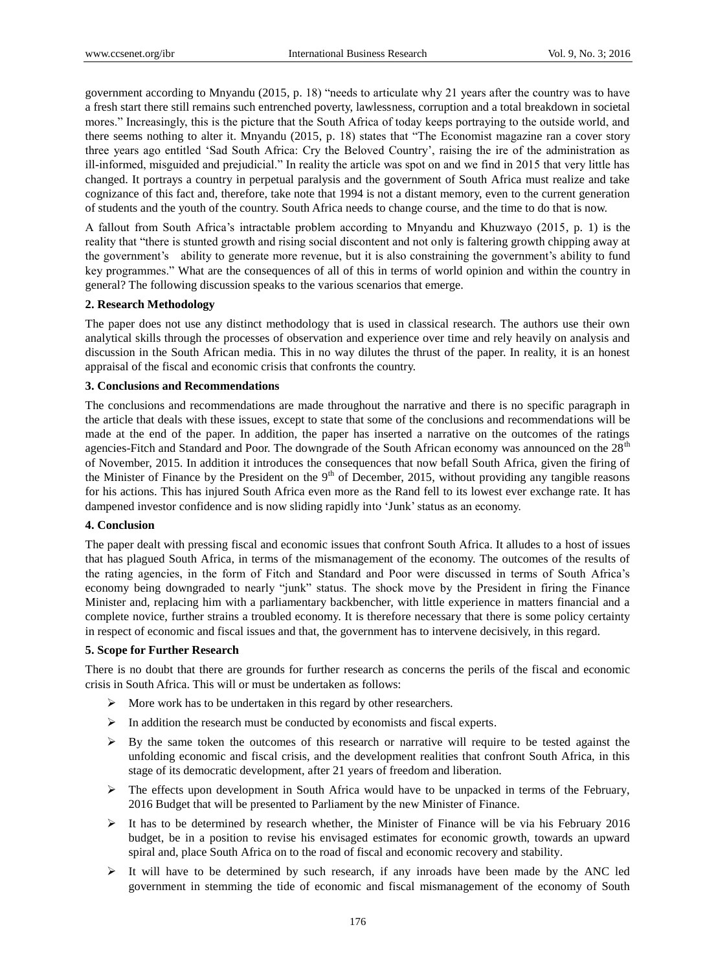government according to Mnyandu (2015, p. 18) "needs to articulate why 21 years after the country was to have a fresh start there still remains such entrenched poverty, lawlessness, corruption and a total breakdown in societal mores." Increasingly, this is the picture that the South Africa of today keeps portraying to the outside world, and there seems nothing to alter it. Mnyandu (2015, p. 18) states that "The Economist magazine ran a cover story three years ago entitled 'Sad South Africa: Cry the Beloved Country', raising the ire of the administration as ill-informed, misguided and prejudicial." In reality the article was spot on and we find in 2015 that very little has changed. It portrays a country in perpetual paralysis and the government of South Africa must realize and take cognizance of this fact and, therefore, take note that 1994 is not a distant memory, even to the current generation of students and the youth of the country. South Africa needs to change course, and the time to do that is now.

A fallout from South Africa's intractable problem according to Mnyandu and Khuzwayo (2015, p. 1) is the reality that "there is stunted growth and rising social discontent and not only is faltering growth chipping away at the government's ability to generate more revenue, but it is also constraining the government's ability to fund key programmes." What are the consequences of all of this in terms of world opinion and within the country in general? The following discussion speaks to the various scenarios that emerge.

## **2. Research Methodology**

The paper does not use any distinct methodology that is used in classical research. The authors use their own analytical skills through the processes of observation and experience over time and rely heavily on analysis and discussion in the South African media. This in no way dilutes the thrust of the paper. In reality, it is an honest appraisal of the fiscal and economic crisis that confronts the country.

## **3. Conclusions and Recommendations**

The conclusions and recommendations are made throughout the narrative and there is no specific paragraph in the article that deals with these issues, except to state that some of the conclusions and recommendations will be made at the end of the paper. In addition, the paper has inserted a narrative on the outcomes of the ratings agencies-Fitch and Standard and Poor. The downgrade of the South African economy was announced on the 28<sup>th</sup> of November, 2015. In addition it introduces the consequences that now befall South Africa, given the firing of the Minister of Finance by the President on the  $9<sup>th</sup>$  of December, 2015, without providing any tangible reasons for his actions. This has injured South Africa even more as the Rand fell to its lowest ever exchange rate. It has dampened investor confidence and is now sliding rapidly into 'Junk' status as an economy.

## **4. Conclusion**

The paper dealt with pressing fiscal and economic issues that confront South Africa. It alludes to a host of issues that has plagued South Africa, in terms of the mismanagement of the economy. The outcomes of the results of the rating agencies, in the form of Fitch and Standard and Poor were discussed in terms of South Africa's economy being downgraded to nearly "junk" status. The shock move by the President in firing the Finance Minister and, replacing him with a parliamentary backbencher, with little experience in matters financial and a complete novice, further strains a troubled economy. It is therefore necessary that there is some policy certainty in respect of economic and fiscal issues and that, the government has to intervene decisively, in this regard.

## **5. Scope for Further Research**

There is no doubt that there are grounds for further research as concerns the perils of the fiscal and economic crisis in South Africa. This will or must be undertaken as follows:

- $\triangleright$  More work has to be undertaken in this regard by other researchers.
- $\triangleright$  In addition the research must be conducted by economists and fiscal experts.
- $\triangleright$  By the same token the outcomes of this research or narrative will require to be tested against the unfolding economic and fiscal crisis, and the development realities that confront South Africa, in this stage of its democratic development, after 21 years of freedom and liberation.
- $\triangleright$  The effects upon development in South Africa would have to be unpacked in terms of the February, 2016 Budget that will be presented to Parliament by the new Minister of Finance.
- $\triangleright$  It has to be determined by research whether, the Minister of Finance will be via his February 2016 budget, be in a position to revise his envisaged estimates for economic growth, towards an upward spiral and, place South Africa on to the road of fiscal and economic recovery and stability.
- $\triangleright$  It will have to be determined by such research, if any inroads have been made by the ANC led government in stemming the tide of economic and fiscal mismanagement of the economy of South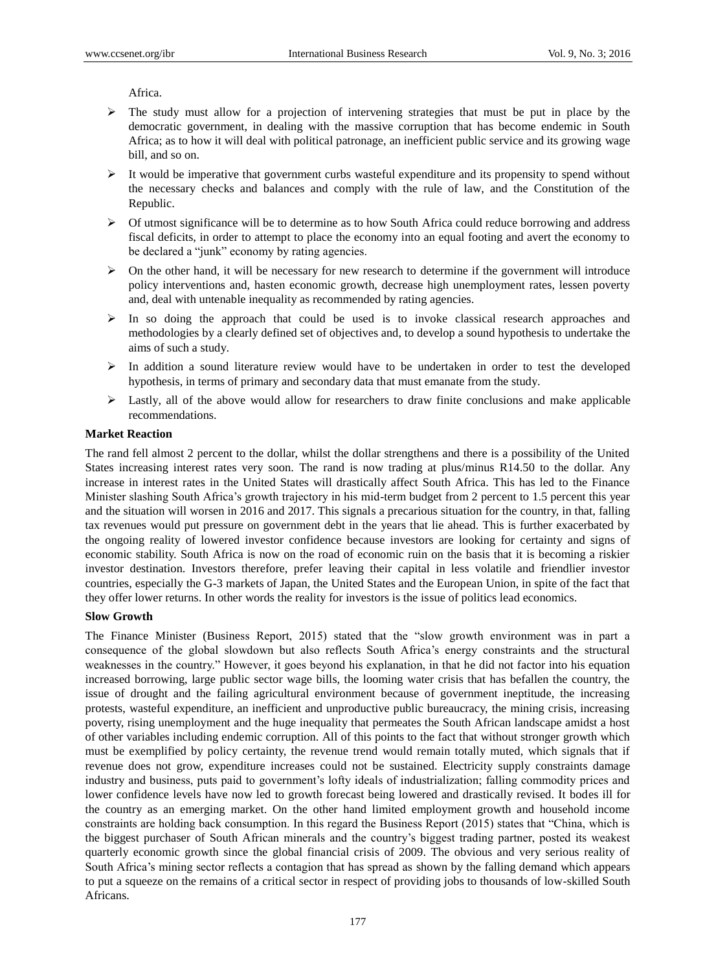Africa.

- $\triangleright$  The study must allow for a projection of intervening strategies that must be put in place by the democratic government, in dealing with the massive corruption that has become endemic in South Africa; as to how it will deal with political patronage, an inefficient public service and its growing wage bill, and so on.
- $\triangleright$  It would be imperative that government curbs wasteful expenditure and its propensity to spend without the necessary checks and balances and comply with the rule of law, and the Constitution of the Republic.
- $\triangleright$  Of utmost significance will be to determine as to how South Africa could reduce borrowing and address fiscal deficits, in order to attempt to place the economy into an equal footing and avert the economy to be declared a "junk" economy by rating agencies.
- $\triangleright$  On the other hand, it will be necessary for new research to determine if the government will introduce policy interventions and, hasten economic growth, decrease high unemployment rates, lessen poverty and, deal with untenable inequality as recommended by rating agencies.
- $\triangleright$  In so doing the approach that could be used is to invoke classical research approaches and methodologies by a clearly defined set of objectives and, to develop a sound hypothesis to undertake the aims of such a study.
- $\triangleright$  In addition a sound literature review would have to be undertaken in order to test the developed hypothesis, in terms of primary and secondary data that must emanate from the study.
- $\triangleright$  Lastly, all of the above would allow for researchers to draw finite conclusions and make applicable recommendations.

## **Market Reaction**

The rand fell almost 2 percent to the dollar, whilst the dollar strengthens and there is a possibility of the United States increasing interest rates very soon. The rand is now trading at plus/minus R14.50 to the dollar. Any increase in interest rates in the United States will drastically affect South Africa. This has led to the Finance Minister slashing South Africa's growth trajectory in his mid-term budget from 2 percent to 1.5 percent this year and the situation will worsen in 2016 and 2017. This signals a precarious situation for the country, in that, falling tax revenues would put pressure on government debt in the years that lie ahead. This is further exacerbated by the ongoing reality of lowered investor confidence because investors are looking for certainty and signs of economic stability. South Africa is now on the road of economic ruin on the basis that it is becoming a riskier investor destination. Investors therefore, prefer leaving their capital in less volatile and friendlier investor countries, especially the G-3 markets of Japan, the United States and the European Union, in spite of the fact that they offer lower returns. In other words the reality for investors is the issue of politics lead economics.

## **Slow Growth**

The Finance Minister (Business Report, 2015) stated that the "slow growth environment was in part a consequence of the global slowdown but also reflects South Africa's energy constraints and the structural weaknesses in the country." However, it goes beyond his explanation, in that he did not factor into his equation increased borrowing, large public sector wage bills, the looming water crisis that has befallen the country, the issue of drought and the failing agricultural environment because of government ineptitude, the increasing protests, wasteful expenditure, an inefficient and unproductive public bureaucracy, the mining crisis, increasing poverty, rising unemployment and the huge inequality that permeates the South African landscape amidst a host of other variables including endemic corruption. All of this points to the fact that without stronger growth which must be exemplified by policy certainty, the revenue trend would remain totally muted, which signals that if revenue does not grow, expenditure increases could not be sustained. Electricity supply constraints damage industry and business, puts paid to government's lofty ideals of industrialization; falling commodity prices and lower confidence levels have now led to growth forecast being lowered and drastically revised. It bodes ill for the country as an emerging market. On the other hand limited employment growth and household income constraints are holding back consumption. In this regard the Business Report (2015) states that "China, which is the biggest purchaser of South African minerals and the country's biggest trading partner, posted its weakest quarterly economic growth since the global financial crisis of 2009. The obvious and very serious reality of South Africa's mining sector reflects a contagion that has spread as shown by the falling demand which appears to put a squeeze on the remains of a critical sector in respect of providing jobs to thousands of low-skilled South Africans.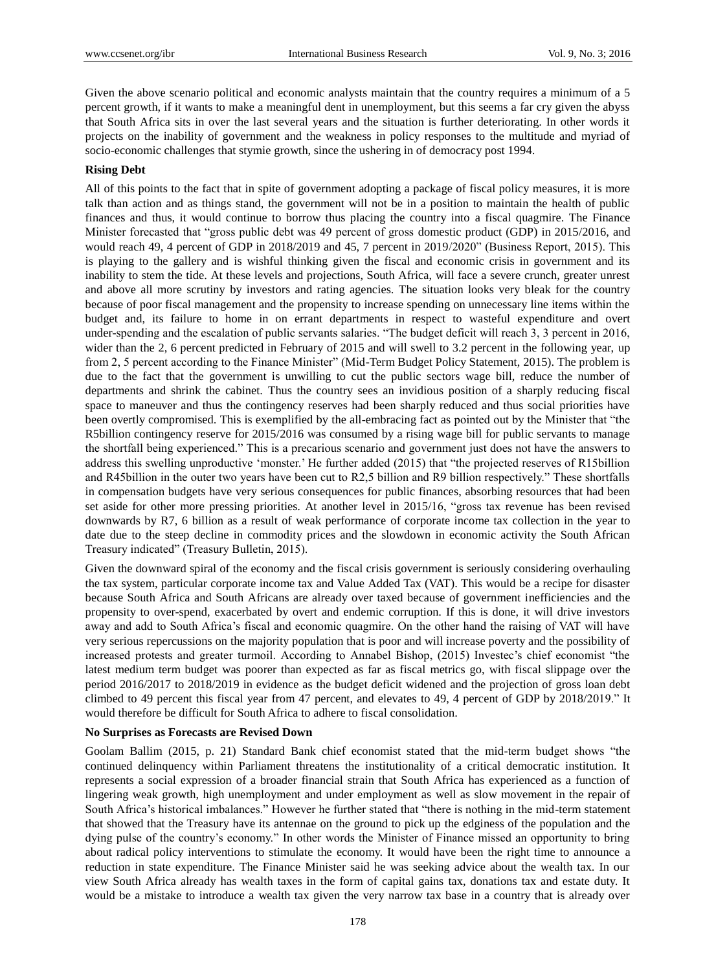Given the above scenario political and economic analysts maintain that the country requires a minimum of a 5 percent growth, if it wants to make a meaningful dent in unemployment, but this seems a far cry given the abyss that South Africa sits in over the last several years and the situation is further deteriorating. In other words it projects on the inability of government and the weakness in policy responses to the multitude and myriad of socio-economic challenges that stymie growth, since the ushering in of democracy post 1994.

## **Rising Debt**

All of this points to the fact that in spite of government adopting a package of fiscal policy measures, it is more talk than action and as things stand, the government will not be in a position to maintain the health of public finances and thus, it would continue to borrow thus placing the country into a fiscal quagmire. The Finance Minister forecasted that "gross public debt was 49 percent of gross domestic product (GDP) in 2015/2016, and would reach 49, 4 percent of GDP in 2018/2019 and 45, 7 percent in 2019/2020" (Business Report, 2015). This is playing to the gallery and is wishful thinking given the fiscal and economic crisis in government and its inability to stem the tide. At these levels and projections, South Africa, will face a severe crunch, greater unrest and above all more scrutiny by investors and rating agencies. The situation looks very bleak for the country because of poor fiscal management and the propensity to increase spending on unnecessary line items within the budget and, its failure to home in on errant departments in respect to wasteful expenditure and overt under-spending and the escalation of public servants salaries. "The budget deficit will reach 3, 3 percent in 2016, wider than the 2, 6 percent predicted in February of 2015 and will swell to 3.2 percent in the following year, up from 2, 5 percent according to the Finance Minister" (Mid-Term Budget Policy Statement, 2015). The problem is due to the fact that the government is unwilling to cut the public sectors wage bill, reduce the number of departments and shrink the cabinet. Thus the country sees an invidious position of a sharply reducing fiscal space to maneuver and thus the contingency reserves had been sharply reduced and thus social priorities have been overtly compromised. This is exemplified by the all-embracing fact as pointed out by the Minister that "the R5billion contingency reserve for 2015/2016 was consumed by a rising wage bill for public servants to manage the shortfall being experienced." This is a precarious scenario and government just does not have the answers to address this swelling unproductive 'monster.' He further added (2015) that "the projected reserves of R15billion and R45billion in the outer two years have been cut to R2,5 billion and R9 billion respectively." These shortfalls in compensation budgets have very serious consequences for public finances, absorbing resources that had been set aside for other more pressing priorities. At another level in 2015/16, "gross tax revenue has been revised downwards by R7, 6 billion as a result of weak performance of corporate income tax collection in the year to date due to the steep decline in commodity prices and the slowdown in economic activity the South African Treasury indicated" (Treasury Bulletin, 2015).

Given the downward spiral of the economy and the fiscal crisis government is seriously considering overhauling the tax system, particular corporate income tax and Value Added Tax (VAT). This would be a recipe for disaster because South Africa and South Africans are already over taxed because of government inefficiencies and the propensity to over-spend, exacerbated by overt and endemic corruption. If this is done, it will drive investors away and add to South Africa's fiscal and economic quagmire. On the other hand the raising of VAT will have very serious repercussions on the majority population that is poor and will increase poverty and the possibility of increased protests and greater turmoil. According to Annabel Bishop, (2015) Investec's chief economist "the latest medium term budget was poorer than expected as far as fiscal metrics go, with fiscal slippage over the period 2016/2017 to 2018/2019 in evidence as the budget deficit widened and the projection of gross loan debt climbed to 49 percent this fiscal year from 47 percent, and elevates to 49, 4 percent of GDP by 2018/2019." It would therefore be difficult for South Africa to adhere to fiscal consolidation.

## **No Surprises as Forecasts are Revised Down**

Goolam Ballim (2015, p. 21) Standard Bank chief economist stated that the mid-term budget shows "the continued delinquency within Parliament threatens the institutionality of a critical democratic institution. It represents a social expression of a broader financial strain that South Africa has experienced as a function of lingering weak growth, high unemployment and under employment as well as slow movement in the repair of South Africa's historical imbalances." However he further stated that "there is nothing in the mid-term statement that showed that the Treasury have its antennae on the ground to pick up the edginess of the population and the dying pulse of the country's economy." In other words the Minister of Finance missed an opportunity to bring about radical policy interventions to stimulate the economy. It would have been the right time to announce a reduction in state expenditure. The Finance Minister said he was seeking advice about the wealth tax. In our view South Africa already has wealth taxes in the form of capital gains tax, donations tax and estate duty. It would be a mistake to introduce a wealth tax given the very narrow tax base in a country that is already over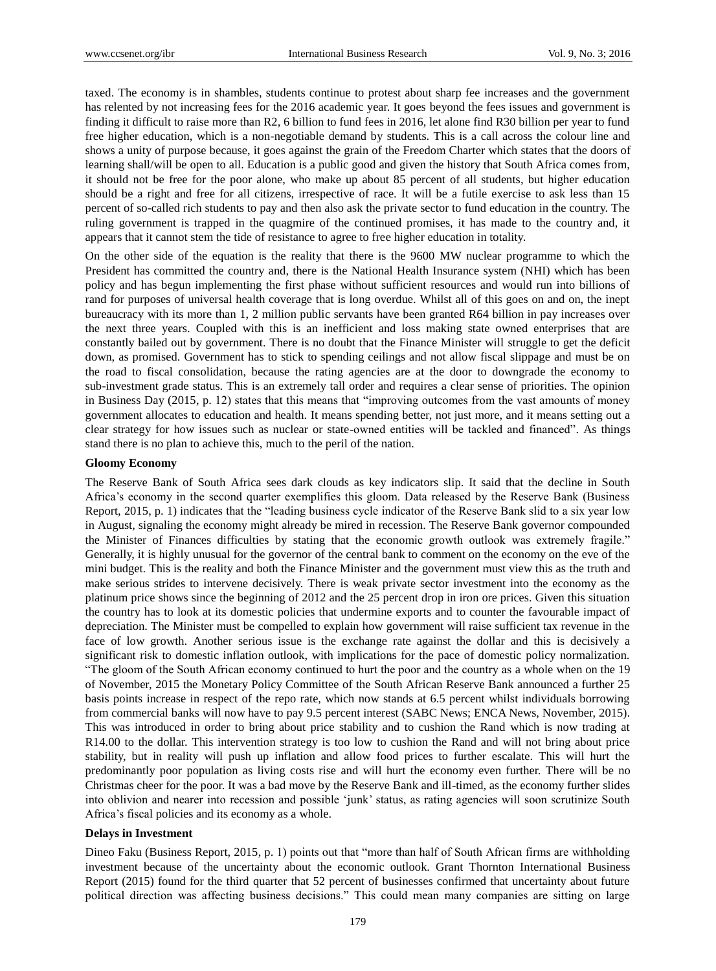taxed. The economy is in shambles, students continue to protest about sharp fee increases and the government has relented by not increasing fees for the 2016 academic year. It goes beyond the fees issues and government is finding it difficult to raise more than R2, 6 billion to fund fees in 2016, let alone find R30 billion per year to fund free higher education, which is a non-negotiable demand by students. This is a call across the colour line and shows a unity of purpose because, it goes against the grain of the Freedom Charter which states that the doors of learning shall/will be open to all. Education is a public good and given the history that South Africa comes from, it should not be free for the poor alone, who make up about 85 percent of all students, but higher education should be a right and free for all citizens, irrespective of race. It will be a futile exercise to ask less than 15 percent of so-called rich students to pay and then also ask the private sector to fund education in the country. The ruling government is trapped in the quagmire of the continued promises, it has made to the country and, it appears that it cannot stem the tide of resistance to agree to free higher education in totality.

On the other side of the equation is the reality that there is the 9600 MW nuclear programme to which the President has committed the country and, there is the National Health Insurance system (NHI) which has been policy and has begun implementing the first phase without sufficient resources and would run into billions of rand for purposes of universal health coverage that is long overdue. Whilst all of this goes on and on, the inept bureaucracy with its more than 1, 2 million public servants have been granted R64 billion in pay increases over the next three years. Coupled with this is an inefficient and loss making state owned enterprises that are constantly bailed out by government. There is no doubt that the Finance Minister will struggle to get the deficit down, as promised. Government has to stick to spending ceilings and not allow fiscal slippage and must be on the road to fiscal consolidation, because the rating agencies are at the door to downgrade the economy to sub-investment grade status. This is an extremely tall order and requires a clear sense of priorities. The opinion in Business Day (2015, p. 12) states that this means that "improving outcomes from the vast amounts of money government allocates to education and health. It means spending better, not just more, and it means setting out a clear strategy for how issues such as nuclear or state-owned entities will be tackled and financed". As things stand there is no plan to achieve this, much to the peril of the nation.

## **Gloomy Economy**

The Reserve Bank of South Africa sees dark clouds as key indicators slip. It said that the decline in South Africa's economy in the second quarter exemplifies this gloom. Data released by the Reserve Bank (Business Report, 2015, p. 1) indicates that the "leading business cycle indicator of the Reserve Bank slid to a six year low in August, signaling the economy might already be mired in recession. The Reserve Bank governor compounded the Minister of Finances difficulties by stating that the economic growth outlook was extremely fragile." Generally, it is highly unusual for the governor of the central bank to comment on the economy on the eve of the mini budget. This is the reality and both the Finance Minister and the government must view this as the truth and make serious strides to intervene decisively. There is weak private sector investment into the economy as the platinum price shows since the beginning of 2012 and the 25 percent drop in iron ore prices. Given this situation the country has to look at its domestic policies that undermine exports and to counter the favourable impact of depreciation. The Minister must be compelled to explain how government will raise sufficient tax revenue in the face of low growth. Another serious issue is the exchange rate against the dollar and this is decisively a significant risk to domestic inflation outlook, with implications for the pace of domestic policy normalization. "The gloom of the South African economy continued to hurt the poor and the country as a whole when on the 19 of November, 2015 the Monetary Policy Committee of the South African Reserve Bank announced a further 25 basis points increase in respect of the repo rate, which now stands at 6.5 percent whilst individuals borrowing from commercial banks will now have to pay 9.5 percent interest (SABC News; ENCA News, November, 2015). This was introduced in order to bring about price stability and to cushion the Rand which is now trading at R14.00 to the dollar. This intervention strategy is too low to cushion the Rand and will not bring about price stability, but in reality will push up inflation and allow food prices to further escalate. This will hurt the predominantly poor population as living costs rise and will hurt the economy even further. There will be no Christmas cheer for the poor. It was a bad move by the Reserve Bank and ill-timed, as the economy further slides into oblivion and nearer into recession and possible 'junk' status, as rating agencies will soon scrutinize South Africa's fiscal policies and its economy as a whole.

## **Delays in Investment**

Dineo Faku (Business Report, 2015, p. 1) points out that "more than half of South African firms are withholding investment because of the uncertainty about the economic outlook. Grant Thornton International Business Report (2015) found for the third quarter that 52 percent of businesses confirmed that uncertainty about future political direction was affecting business decisions." This could mean many companies are sitting on large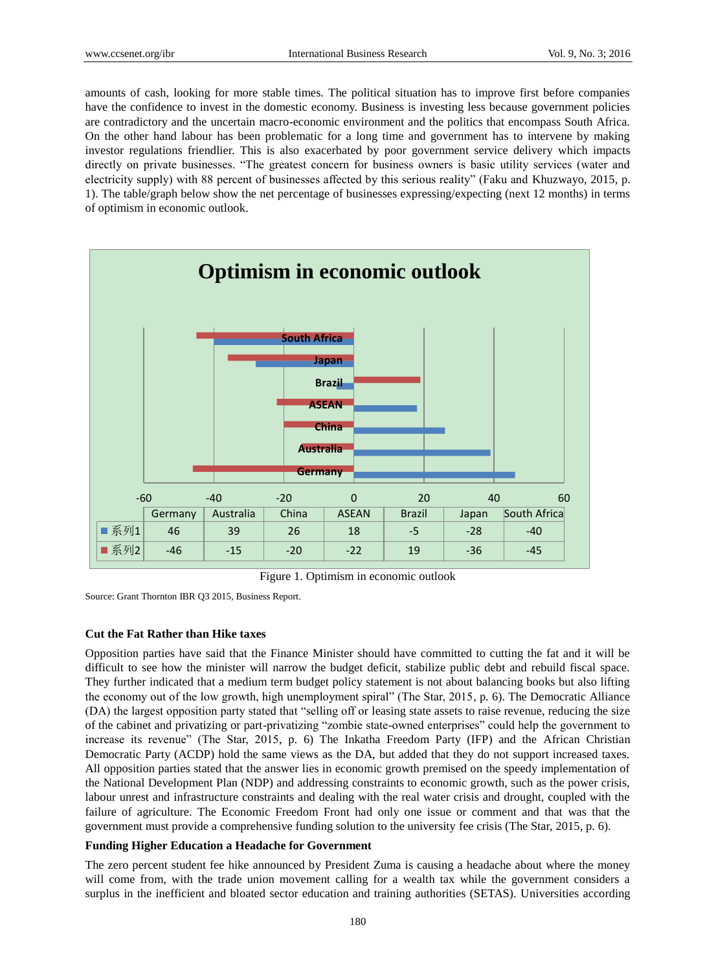amounts of cash, looking for more stable times. The political situation has to improve first before companies have the confidence to invest in the domestic economy. Business is investing less because government policies are contradictory and the uncertain macro-economic environment and the politics that encompass South Africa. On the other hand labour has been problematic for a long time and government has to intervene by making investor regulations friendlier. This is also exacerbated by poor government service delivery which impacts directly on private businesses. "The greatest concern for business owners is basic utility services (water and electricity supply) with 88 percent of businesses affected by this serious reality" (Faku and Khuzwayo, 2015, p. 1). The table/graph below show the net percentage of businesses expressing/expecting (next 12 months) in terms of optimism in economic outlook.



Figure 1. Optimism in economic outlook

Source: Grant Thornton IBR Q3 2015, Business Report.

#### **Cut the Fat Rather than Hike taxes**

Opposition parties have said that the Finance Minister should have committed to cutting the fat and it will be difficult to see how the minister will narrow the budget deficit, stabilize public debt and rebuild fiscal space. They further indicated that a medium term budget policy statement is not about balancing books but also lifting the economy out of the low growth, high unemployment spiral" (The Star, 2015, p. 6). The Democratic Alliance (DA) the largest opposition party stated that "selling off or leasing state assets to raise revenue, reducing the size of the cabinet and privatizing or part-privatizing "zombie state-owned enterprises" could help the government to increase its revenue" (The Star, 2015, p. 6) The Inkatha Freedom Party (IFP) and the African Christian Democratic Party (ACDP) hold the same views as the DA, but added that they do not support increased taxes. All opposition parties stated that the answer lies in economic growth premised on the speedy implementation of the National Development Plan (NDP) and addressing constraints to economic growth, such as the power crisis, labour unrest and infrastructure constraints and dealing with the real water crisis and drought, coupled with the failure of agriculture. The Economic Freedom Front had only one issue or comment and that was that the government must provide a comprehensive funding solution to the university fee crisis (The Star, 2015, p. 6).

#### **Funding Higher Education a Headache for Government**

The zero percent student fee hike announced by President Zuma is causing a headache about where the money will come from, with the trade union movement calling for a wealth tax while the government considers a surplus in the inefficient and bloated sector education and training authorities (SETAS). Universities according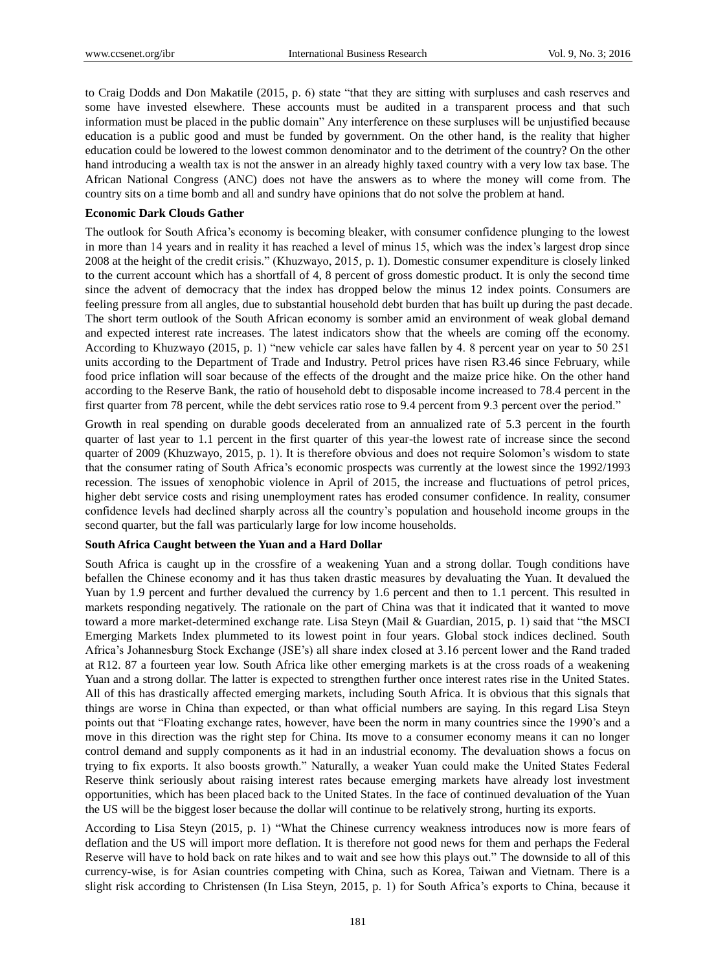to Craig Dodds and Don Makatile (2015, p. 6) state "that they are sitting with surpluses and cash reserves and some have invested elsewhere. These accounts must be audited in a transparent process and that such information must be placed in the public domain" Any interference on these surpluses will be unjustified because education is a public good and must be funded by government. On the other hand, is the reality that higher education could be lowered to the lowest common denominator and to the detriment of the country? On the other hand introducing a wealth tax is not the answer in an already highly taxed country with a very low tax base. The African National Congress (ANC) does not have the answers as to where the money will come from. The country sits on a time bomb and all and sundry have opinions that do not solve the problem at hand.

#### **Economic Dark Clouds Gather**

The outlook for South Africa's economy is becoming bleaker, with consumer confidence plunging to the lowest in more than 14 years and in reality it has reached a level of minus 15, which was the index's largest drop since 2008 at the height of the credit crisis." (Khuzwayo, 2015, p. 1). Domestic consumer expenditure is closely linked to the current account which has a shortfall of 4, 8 percent of gross domestic product. It is only the second time since the advent of democracy that the index has dropped below the minus 12 index points. Consumers are feeling pressure from all angles, due to substantial household debt burden that has built up during the past decade. The short term outlook of the South African economy is somber amid an environment of weak global demand and expected interest rate increases. The latest indicators show that the wheels are coming off the economy. According to Khuzwayo (2015, p. 1) "new vehicle car sales have fallen by 4. 8 percent year on year to 50 251 units according to the Department of Trade and Industry. Petrol prices have risen R3.46 since February, while food price inflation will soar because of the effects of the drought and the maize price hike. On the other hand according to the Reserve Bank, the ratio of household debt to disposable income increased to 78.4 percent in the first quarter from 78 percent, while the debt services ratio rose to 9.4 percent from 9.3 percent over the period."

Growth in real spending on durable goods decelerated from an annualized rate of 5.3 percent in the fourth quarter of last year to 1.1 percent in the first quarter of this year-the lowest rate of increase since the second quarter of 2009 (Khuzwayo, 2015, p. 1). It is therefore obvious and does not require Solomon's wisdom to state that the consumer rating of South Africa's economic prospects was currently at the lowest since the 1992/1993 recession. The issues of xenophobic violence in April of 2015, the increase and fluctuations of petrol prices, higher debt service costs and rising unemployment rates has eroded consumer confidence. In reality, consumer confidence levels had declined sharply across all the country's population and household income groups in the second quarter, but the fall was particularly large for low income households.

#### **South Africa Caught between the Yuan and a Hard Dollar**

South Africa is caught up in the crossfire of a weakening Yuan and a strong dollar. Tough conditions have befallen the Chinese economy and it has thus taken drastic measures by devaluating the Yuan. It devalued the Yuan by 1.9 percent and further devalued the currency by 1.6 percent and then to 1.1 percent. This resulted in markets responding negatively. The rationale on the part of China was that it indicated that it wanted to move toward a more market-determined exchange rate. Lisa Steyn (Mail & Guardian, 2015, p. 1) said that "the MSCI Emerging Markets Index plummeted to its lowest point in four years. Global stock indices declined. South Africa's Johannesburg Stock Exchange (JSE's) all share index closed at 3.16 percent lower and the Rand traded at R12. 87 a fourteen year low. South Africa like other emerging markets is at the cross roads of a weakening Yuan and a strong dollar. The latter is expected to strengthen further once interest rates rise in the United States. All of this has drastically affected emerging markets, including South Africa. It is obvious that this signals that things are worse in China than expected, or than what official numbers are saying. In this regard Lisa Steyn points out that "Floating exchange rates, however, have been the norm in many countries since the 1990's and a move in this direction was the right step for China. Its move to a consumer economy means it can no longer control demand and supply components as it had in an industrial economy. The devaluation shows a focus on trying to fix exports. It also boosts growth." Naturally, a weaker Yuan could make the United States Federal Reserve think seriously about raising interest rates because emerging markets have already lost investment opportunities, which has been placed back to the United States. In the face of continued devaluation of the Yuan the US will be the biggest loser because the dollar will continue to be relatively strong, hurting its exports.

According to Lisa Steyn (2015, p. 1) "What the Chinese currency weakness introduces now is more fears of deflation and the US will import more deflation. It is therefore not good news for them and perhaps the Federal Reserve will have to hold back on rate hikes and to wait and see how this plays out." The downside to all of this currency-wise, is for Asian countries competing with China, such as Korea, Taiwan and Vietnam. There is a slight risk according to Christensen (In Lisa Steyn, 2015, p. 1) for South Africa's exports to China, because it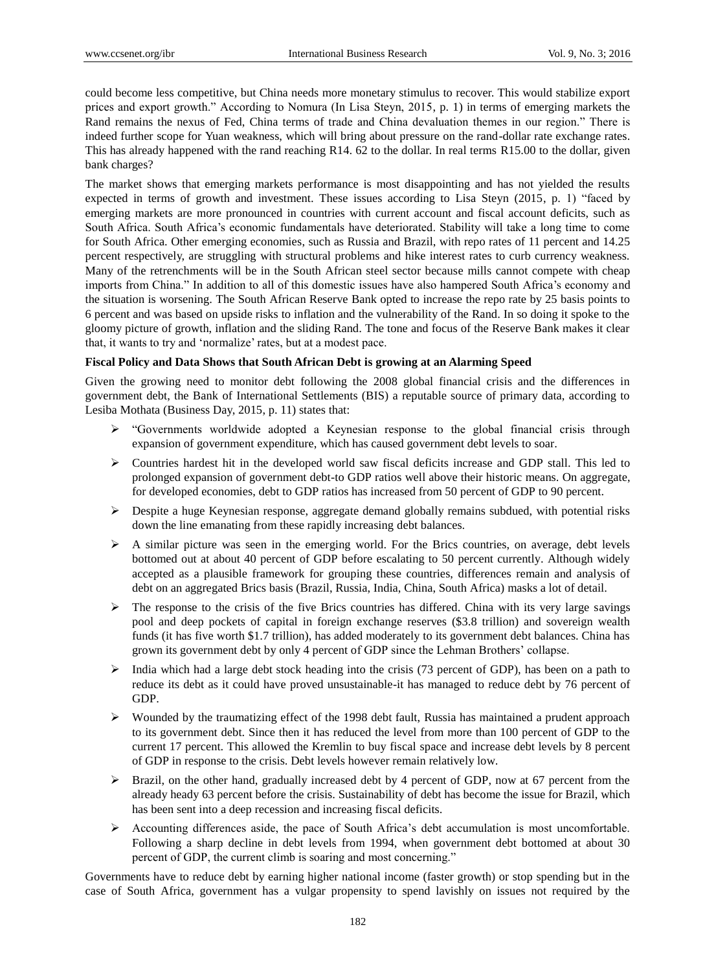could become less competitive, but China needs more monetary stimulus to recover. This would stabilize export prices and export growth." According to Nomura (In Lisa Steyn, 2015, p. 1) in terms of emerging markets the Rand remains the nexus of Fed, China terms of trade and China devaluation themes in our region." There is indeed further scope for Yuan weakness, which will bring about pressure on the rand-dollar rate exchange rates. This has already happened with the rand reaching R14. 62 to the dollar. In real terms R15.00 to the dollar, given bank charges?

The market shows that emerging markets performance is most disappointing and has not yielded the results expected in terms of growth and investment. These issues according to Lisa Steyn (2015, p. 1) "faced by emerging markets are more pronounced in countries with current account and fiscal account deficits, such as South Africa. South Africa's economic fundamentals have deteriorated. Stability will take a long time to come for South Africa. Other emerging economies, such as Russia and Brazil, with repo rates of 11 percent and 14.25 percent respectively, are struggling with structural problems and hike interest rates to curb currency weakness. Many of the retrenchments will be in the South African steel sector because mills cannot compete with cheap imports from China." In addition to all of this domestic issues have also hampered South Africa's economy and the situation is worsening. The South African Reserve Bank opted to increase the repo rate by 25 basis points to 6 percent and was based on upside risks to inflation and the vulnerability of the Rand. In so doing it spoke to the gloomy picture of growth, inflation and the sliding Rand. The tone and focus of the Reserve Bank makes it clear that, it wants to try and 'normalize' rates, but at a modest pace.

## **Fiscal Policy and Data Shows that South African Debt is growing at an Alarming Speed**

Given the growing need to monitor debt following the 2008 global financial crisis and the differences in government debt, the Bank of International Settlements (BIS) a reputable source of primary data, according to Lesiba Mothata (Business Day, 2015, p. 11) states that:

- $\triangleright$  "Governments worldwide adopted a Keynesian response to the global financial crisis through expansion of government expenditure, which has caused government debt levels to soar.
- $\triangleright$  Countries hardest hit in the developed world saw fiscal deficits increase and GDP stall. This led to prolonged expansion of government debt-to GDP ratios well above their historic means. On aggregate, for developed economies, debt to GDP ratios has increased from 50 percent of GDP to 90 percent.
- $\triangleright$  Despite a huge Keynesian response, aggregate demand globally remains subdued, with potential risks down the line emanating from these rapidly increasing debt balances.
- $\triangleright$  A similar picture was seen in the emerging world. For the Brics countries, on average, debt levels bottomed out at about 40 percent of GDP before escalating to 50 percent currently. Although widely accepted as a plausible framework for grouping these countries, differences remain and analysis of debt on an aggregated Brics basis (Brazil, Russia, India, China, South Africa) masks a lot of detail.
- $\triangleright$  The response to the crisis of the five Brics countries has differed. China with its very large savings pool and deep pockets of capital in foreign exchange reserves (\$3.8 trillion) and sovereign wealth funds (it has five worth \$1.7 trillion), has added moderately to its government debt balances. China has grown its government debt by only 4 percent of GDP since the Lehman Brothers' collapse.
- $\triangleright$  India which had a large debt stock heading into the crisis (73 percent of GDP), has been on a path to reduce its debt as it could have proved unsustainable-it has managed to reduce debt by 76 percent of GDP.
- $\triangleright$  Wounded by the traumatizing effect of the 1998 debt fault, Russia has maintained a prudent approach to its government debt. Since then it has reduced the level from more than 100 percent of GDP to the current 17 percent. This allowed the Kremlin to buy fiscal space and increase debt levels by 8 percent of GDP in response to the crisis. Debt levels however remain relatively low.
- Brazil, on the other hand, gradually increased debt by 4 percent of GDP, now at 67 percent from the already heady 63 percent before the crisis. Sustainability of debt has become the issue for Brazil, which has been sent into a deep recession and increasing fiscal deficits.
- Accounting differences aside, the pace of South Africa's debt accumulation is most uncomfortable. Following a sharp decline in debt levels from 1994, when government debt bottomed at about 30 percent of GDP, the current climb is soaring and most concerning."

Governments have to reduce debt by earning higher national income (faster growth) or stop spending but in the case of South Africa, government has a vulgar propensity to spend lavishly on issues not required by the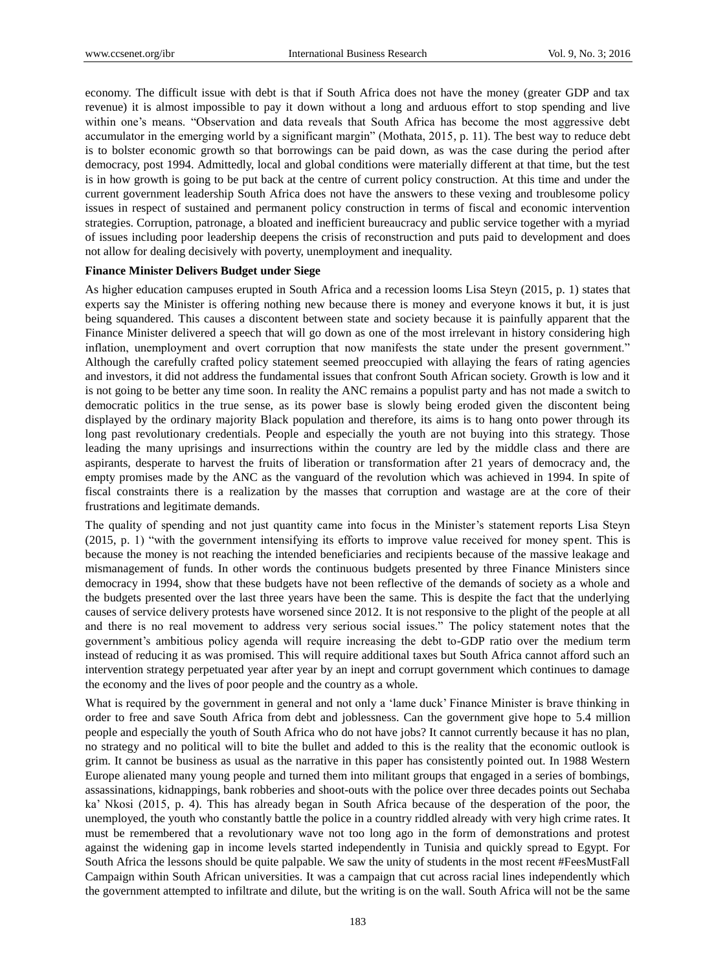economy. The difficult issue with debt is that if South Africa does not have the money (greater GDP and tax revenue) it is almost impossible to pay it down without a long and arduous effort to stop spending and live within one's means. "Observation and data reveals that South Africa has become the most aggressive debt accumulator in the emerging world by a significant margin" (Mothata, 2015, p. 11). The best way to reduce debt is to bolster economic growth so that borrowings can be paid down, as was the case during the period after democracy, post 1994. Admittedly, local and global conditions were materially different at that time, but the test is in how growth is going to be put back at the centre of current policy construction. At this time and under the current government leadership South Africa does not have the answers to these vexing and troublesome policy issues in respect of sustained and permanent policy construction in terms of fiscal and economic intervention strategies. Corruption, patronage, a bloated and inefficient bureaucracy and public service together with a myriad of issues including poor leadership deepens the crisis of reconstruction and puts paid to development and does not allow for dealing decisively with poverty, unemployment and inequality.

#### **Finance Minister Delivers Budget under Siege**

As higher education campuses erupted in South Africa and a recession looms Lisa Steyn (2015, p. 1) states that experts say the Minister is offering nothing new because there is money and everyone knows it but, it is just being squandered. This causes a discontent between state and society because it is painfully apparent that the Finance Minister delivered a speech that will go down as one of the most irrelevant in history considering high inflation, unemployment and overt corruption that now manifests the state under the present government." Although the carefully crafted policy statement seemed preoccupied with allaying the fears of rating agencies and investors, it did not address the fundamental issues that confront South African society. Growth is low and it is not going to be better any time soon. In reality the ANC remains a populist party and has not made a switch to democratic politics in the true sense, as its power base is slowly being eroded given the discontent being displayed by the ordinary majority Black population and therefore, its aims is to hang onto power through its long past revolutionary credentials. People and especially the youth are not buying into this strategy. Those leading the many uprisings and insurrections within the country are led by the middle class and there are aspirants, desperate to harvest the fruits of liberation or transformation after 21 years of democracy and, the empty promises made by the ANC as the vanguard of the revolution which was achieved in 1994. In spite of fiscal constraints there is a realization by the masses that corruption and wastage are at the core of their frustrations and legitimate demands.

The quality of spending and not just quantity came into focus in the Minister's statement reports Lisa Steyn (2015, p. 1) "with the government intensifying its efforts to improve value received for money spent. This is because the money is not reaching the intended beneficiaries and recipients because of the massive leakage and mismanagement of funds. In other words the continuous budgets presented by three Finance Ministers since democracy in 1994, show that these budgets have not been reflective of the demands of society as a whole and the budgets presented over the last three years have been the same. This is despite the fact that the underlying causes of service delivery protests have worsened since 2012. It is not responsive to the plight of the people at all and there is no real movement to address very serious social issues." The policy statement notes that the government's ambitious policy agenda will require increasing the debt to-GDP ratio over the medium term instead of reducing it as was promised. This will require additional taxes but South Africa cannot afford such an intervention strategy perpetuated year after year by an inept and corrupt government which continues to damage the economy and the lives of poor people and the country as a whole.

What is required by the government in general and not only a 'lame duck' Finance Minister is brave thinking in order to free and save South Africa from debt and joblessness. Can the government give hope to 5.4 million people and especially the youth of South Africa who do not have jobs? It cannot currently because it has no plan, no strategy and no political will to bite the bullet and added to this is the reality that the economic outlook is grim. It cannot be business as usual as the narrative in this paper has consistently pointed out. In 1988 Western Europe alienated many young people and turned them into militant groups that engaged in a series of bombings, assassinations, kidnappings, bank robberies and shoot-outs with the police over three decades points out Sechaba ka' Nkosi (2015, p. 4). This has already began in South Africa because of the desperation of the poor, the unemployed, the youth who constantly battle the police in a country riddled already with very high crime rates. It must be remembered that a revolutionary wave not too long ago in the form of demonstrations and protest against the widening gap in income levels started independently in Tunisia and quickly spread to Egypt. For South Africa the lessons should be quite palpable. We saw the unity of students in the most recent #FeesMustFall Campaign within South African universities. It was a campaign that cut across racial lines independently which the government attempted to infiltrate and dilute, but the writing is on the wall. South Africa will not be the same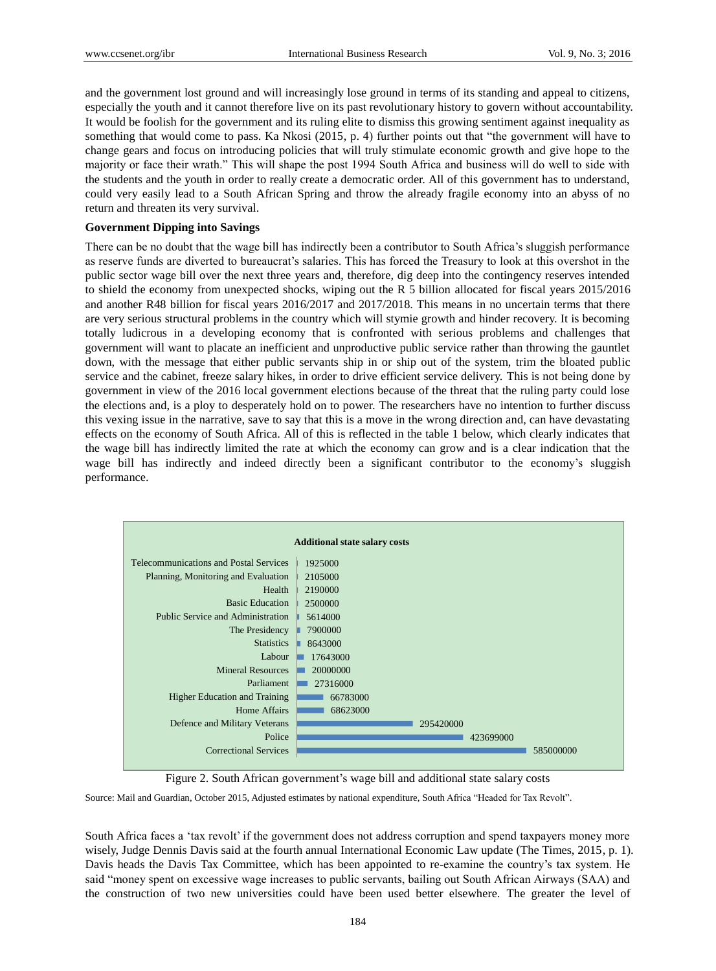and the government lost ground and will increasingly lose ground in terms of its standing and appeal to citizens, especially the youth and it cannot therefore live on its past revolutionary history to govern without accountability. It would be foolish for the government and its ruling elite to dismiss this growing sentiment against inequality as something that would come to pass. Ka Nkosi (2015, p. 4) further points out that "the government will have to change gears and focus on introducing policies that will truly stimulate economic growth and give hope to the majority or face their wrath." This will shape the post 1994 South Africa and business will do well to side with the students and the youth in order to really create a democratic order. All of this government has to understand, could very easily lead to a South African Spring and throw the already fragile economy into an abyss of no return and threaten its very survival.

#### **Government Dipping into Savings**

There can be no doubt that the wage bill has indirectly been a contributor to South Africa's sluggish performance as reserve funds are diverted to bureaucrat's salaries. This has forced the Treasury to look at this overshot in the public sector wage bill over the next three years and, therefore, dig deep into the contingency reserves intended to shield the economy from unexpected shocks, wiping out the R 5 billion allocated for fiscal years 2015/2016 and another R48 billion for fiscal years 2016/2017 and 2017/2018. This means in no uncertain terms that there are very serious structural problems in the country which will stymie growth and hinder recovery. It is becoming totally ludicrous in a developing economy that is confronted with serious problems and challenges that government will want to placate an inefficient and unproductive public service rather than throwing the gauntlet down, with the message that either public servants ship in or ship out of the system, trim the bloated public service and the cabinet, freeze salary hikes, in order to drive efficient service delivery. This is not being done by government in view of the 2016 local government elections because of the threat that the ruling party could lose the elections and, is a ploy to desperately hold on to power. The researchers have no intention to further discuss this vexing issue in the narrative, save to say that this is a move in the wrong direction and, can have devastating effects on the economy of South Africa. All of this is reflected in the table 1 below, which clearly indicates that the wage bill has indirectly limited the rate at which the economy can grow and is a clear indication that the wage bill has indirectly and indeed directly been a significant contributor to the economy's sluggish performance.



Figure 2. South African government's wage bill and additional state salary costs

Source: Mail and Guardian, October 2015, Adjusted estimates by national expenditure, South Africa "Headed for Tax Revolt".

South Africa faces a 'tax revolt' if the government does not address corruption and spend taxpayers money more wisely, Judge Dennis Davis said at the fourth annual International Economic Law update (The Times, 2015, p. 1). Davis heads the Davis Tax Committee, which has been appointed to re-examine the country's tax system. He said "money spent on excessive wage increases to public servants, bailing out South African Airways (SAA) and the construction of two new universities could have been used better elsewhere. The greater the level of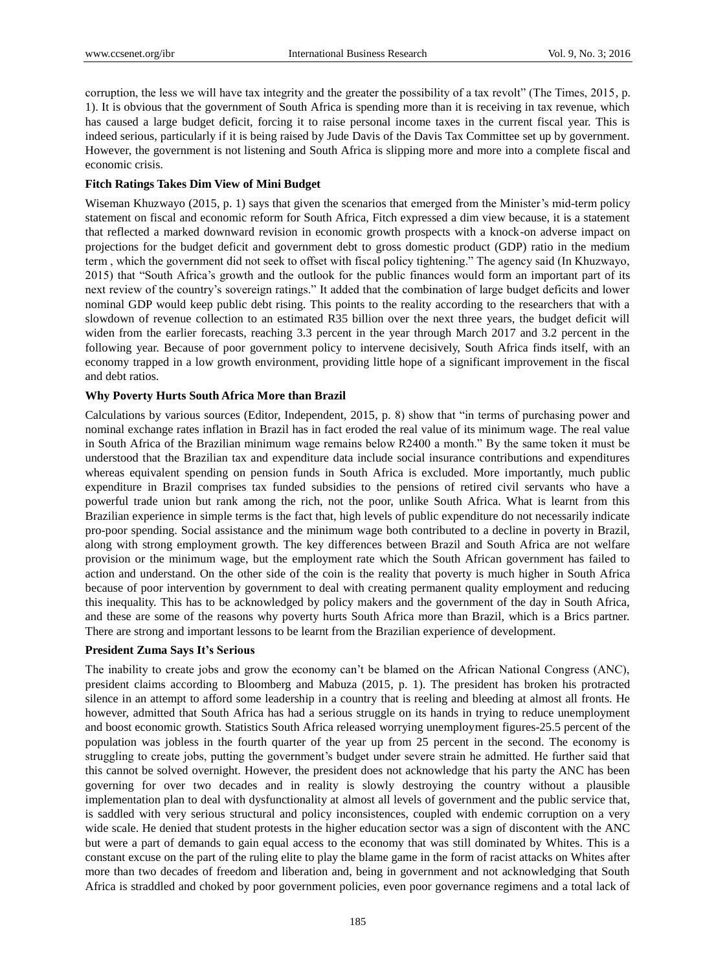corruption, the less we will have tax integrity and the greater the possibility of a tax revolt" (The Times, 2015, p. 1). It is obvious that the government of South Africa is spending more than it is receiving in tax revenue, which has caused a large budget deficit, forcing it to raise personal income taxes in the current fiscal year. This is indeed serious, particularly if it is being raised by Jude Davis of the Davis Tax Committee set up by government. However, the government is not listening and South Africa is slipping more and more into a complete fiscal and economic crisis.

## **Fitch Ratings Takes Dim View of Mini Budget**

Wiseman Khuzwayo (2015, p. 1) says that given the scenarios that emerged from the Minister's mid-term policy statement on fiscal and economic reform for South Africa, Fitch expressed a dim view because, it is a statement that reflected a marked downward revision in economic growth prospects with a knock-on adverse impact on projections for the budget deficit and government debt to gross domestic product (GDP) ratio in the medium term , which the government did not seek to offset with fiscal policy tightening." The agency said (In Khuzwayo, 2015) that "South Africa's growth and the outlook for the public finances would form an important part of its next review of the country's sovereign ratings." It added that the combination of large budget deficits and lower nominal GDP would keep public debt rising. This points to the reality according to the researchers that with a slowdown of revenue collection to an estimated R35 billion over the next three years, the budget deficit will widen from the earlier forecasts, reaching 3.3 percent in the year through March 2017 and 3.2 percent in the following year. Because of poor government policy to intervene decisively, South Africa finds itself, with an economy trapped in a low growth environment, providing little hope of a significant improvement in the fiscal and debt ratios.

## **Why Poverty Hurts South Africa More than Brazil**

Calculations by various sources (Editor, Independent, 2015, p. 8) show that "in terms of purchasing power and nominal exchange rates inflation in Brazil has in fact eroded the real value of its minimum wage. The real value in South Africa of the Brazilian minimum wage remains below R2400 a month." By the same token it must be understood that the Brazilian tax and expenditure data include social insurance contributions and expenditures whereas equivalent spending on pension funds in South Africa is excluded. More importantly, much public expenditure in Brazil comprises tax funded subsidies to the pensions of retired civil servants who have a powerful trade union but rank among the rich, not the poor, unlike South Africa. What is learnt from this Brazilian experience in simple terms is the fact that, high levels of public expenditure do not necessarily indicate pro-poor spending. Social assistance and the minimum wage both contributed to a decline in poverty in Brazil, along with strong employment growth. The key differences between Brazil and South Africa are not welfare provision or the minimum wage, but the employment rate which the South African government has failed to action and understand. On the other side of the coin is the reality that poverty is much higher in South Africa because of poor intervention by government to deal with creating permanent quality employment and reducing this inequality. This has to be acknowledged by policy makers and the government of the day in South Africa, and these are some of the reasons why poverty hurts South Africa more than Brazil, which is a Brics partner. There are strong and important lessons to be learnt from the Brazilian experience of development.

#### **President Zuma Says It's Serious**

The inability to create jobs and grow the economy can't be blamed on the African National Congress (ANC), president claims according to Bloomberg and Mabuza (2015, p. 1). The president has broken his protracted silence in an attempt to afford some leadership in a country that is reeling and bleeding at almost all fronts. He however, admitted that South Africa has had a serious struggle on its hands in trying to reduce unemployment and boost economic growth. Statistics South Africa released worrying unemployment figures-25.5 percent of the population was jobless in the fourth quarter of the year up from 25 percent in the second. The economy is struggling to create jobs, putting the government's budget under severe strain he admitted. He further said that this cannot be solved overnight. However, the president does not acknowledge that his party the ANC has been governing for over two decades and in reality is slowly destroying the country without a plausible implementation plan to deal with dysfunctionality at almost all levels of government and the public service that, is saddled with very serious structural and policy inconsistences, coupled with endemic corruption on a very wide scale. He denied that student protests in the higher education sector was a sign of discontent with the ANC but were a part of demands to gain equal access to the economy that was still dominated by Whites. This is a constant excuse on the part of the ruling elite to play the blame game in the form of racist attacks on Whites after more than two decades of freedom and liberation and, being in government and not acknowledging that South Africa is straddled and choked by poor government policies, even poor governance regimens and a total lack of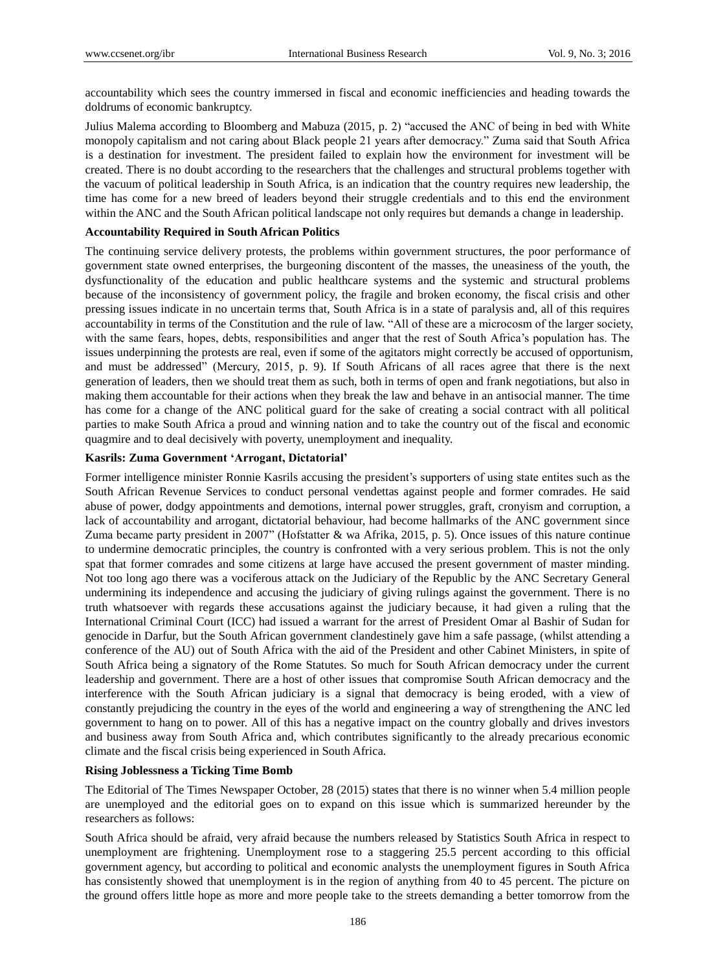accountability which sees the country immersed in fiscal and economic inefficiencies and heading towards the doldrums of economic bankruptcy.

Julius Malema according to Bloomberg and Mabuza (2015, p. 2) "accused the ANC of being in bed with White monopoly capitalism and not caring about Black people 21 years after democracy." Zuma said that South Africa is a destination for investment. The president failed to explain how the environment for investment will be created. There is no doubt according to the researchers that the challenges and structural problems together with the vacuum of political leadership in South Africa, is an indication that the country requires new leadership, the time has come for a new breed of leaders beyond their struggle credentials and to this end the environment within the ANC and the South African political landscape not only requires but demands a change in leadership.

#### **Accountability Required in South African Politics**

The continuing service delivery protests, the problems within government structures, the poor performance of government state owned enterprises, the burgeoning discontent of the masses, the uneasiness of the youth, the dysfunctionality of the education and public healthcare systems and the systemic and structural problems because of the inconsistency of government policy, the fragile and broken economy, the fiscal crisis and other pressing issues indicate in no uncertain terms that, South Africa is in a state of paralysis and, all of this requires accountability in terms of the Constitution and the rule of law. "All of these are a microcosm of the larger society, with the same fears, hopes, debts, responsibilities and anger that the rest of South Africa's population has. The issues underpinning the protests are real, even if some of the agitators might correctly be accused of opportunism, and must be addressed" (Mercury, 2015, p. 9). If South Africans of all races agree that there is the next generation of leaders, then we should treat them as such, both in terms of open and frank negotiations, but also in making them accountable for their actions when they break the law and behave in an antisocial manner. The time has come for a change of the ANC political guard for the sake of creating a social contract with all political parties to make South Africa a proud and winning nation and to take the country out of the fiscal and economic quagmire and to deal decisively with poverty, unemployment and inequality.

#### **Kasrils: Zuma Government 'Arrogant, Dictatorial'**

Former intelligence minister Ronnie Kasrils accusing the president's supporters of using state entites such as the South African Revenue Services to conduct personal vendettas against people and former comrades. He said abuse of power, dodgy appointments and demotions, internal power struggles, graft, cronyism and corruption, a lack of accountability and arrogant, dictatorial behaviour, had become hallmarks of the ANC government since Zuma became party president in 2007" (Hofstatter & wa Afrika, 2015, p. 5). Once issues of this nature continue to undermine democratic principles, the country is confronted with a very serious problem. This is not the only spat that former comrades and some citizens at large have accused the present government of master minding. Not too long ago there was a vociferous attack on the Judiciary of the Republic by the ANC Secretary General undermining its independence and accusing the judiciary of giving rulings against the government. There is no truth whatsoever with regards these accusations against the judiciary because, it had given a ruling that the International Criminal Court (ICC) had issued a warrant for the arrest of President Omar al Bashir of Sudan for genocide in Darfur, but the South African government clandestinely gave him a safe passage, (whilst attending a conference of the AU) out of South Africa with the aid of the President and other Cabinet Ministers, in spite of South Africa being a signatory of the Rome Statutes. So much for South African democracy under the current leadership and government. There are a host of other issues that compromise South African democracy and the interference with the South African judiciary is a signal that democracy is being eroded, with a view of constantly prejudicing the country in the eyes of the world and engineering a way of strengthening the ANC led government to hang on to power. All of this has a negative impact on the country globally and drives investors and business away from South Africa and, which contributes significantly to the already precarious economic climate and the fiscal crisis being experienced in South Africa.

#### **Rising Joblessness a Ticking Time Bomb**

The Editorial of The Times Newspaper October, 28 (2015) states that there is no winner when 5.4 million people are unemployed and the editorial goes on to expand on this issue which is summarized hereunder by the researchers as follows:

South Africa should be afraid, very afraid because the numbers released by Statistics South Africa in respect to unemployment are frightening. Unemployment rose to a staggering 25.5 percent according to this official government agency, but according to political and economic analysts the unemployment figures in South Africa has consistently showed that unemployment is in the region of anything from 40 to 45 percent. The picture on the ground offers little hope as more and more people take to the streets demanding a better tomorrow from the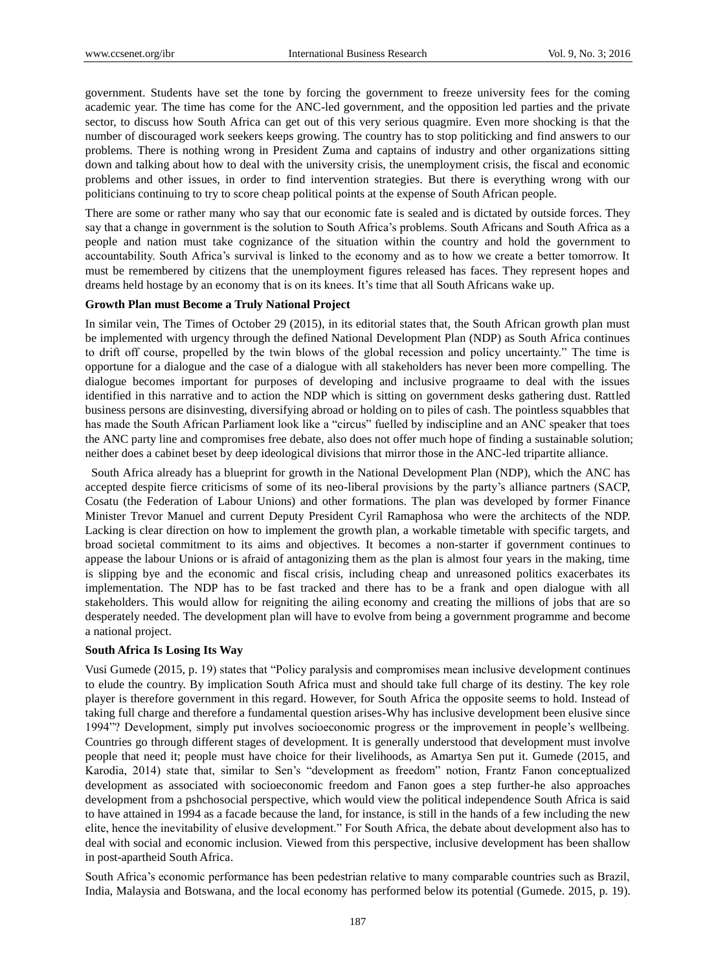government. Students have set the tone by forcing the government to freeze university fees for the coming academic year. The time has come for the ANC-led government, and the opposition led parties and the private sector, to discuss how South Africa can get out of this very serious quagmire. Even more shocking is that the number of discouraged work seekers keeps growing. The country has to stop politicking and find answers to our problems. There is nothing wrong in President Zuma and captains of industry and other organizations sitting down and talking about how to deal with the university crisis, the unemployment crisis, the fiscal and economic problems and other issues, in order to find intervention strategies. But there is everything wrong with our politicians continuing to try to score cheap political points at the expense of South African people.

There are some or rather many who say that our economic fate is sealed and is dictated by outside forces. They say that a change in government is the solution to South Africa's problems. South Africans and South Africa as a people and nation must take cognizance of the situation within the country and hold the government to accountability. South Africa's survival is linked to the economy and as to how we create a better tomorrow. It must be remembered by citizens that the unemployment figures released has faces. They represent hopes and dreams held hostage by an economy that is on its knees. It's time that all South Africans wake up.

#### **Growth Plan must Become a Truly National Project**

In similar vein, The Times of October 29 (2015), in its editorial states that, the South African growth plan must be implemented with urgency through the defined National Development Plan (NDP) as South Africa continues to drift off course, propelled by the twin blows of the global recession and policy uncertainty." The time is opportune for a dialogue and the case of a dialogue with all stakeholders has never been more compelling. The dialogue becomes important for purposes of developing and inclusive prograame to deal with the issues identified in this narrative and to action the NDP which is sitting on government desks gathering dust. Rattled business persons are disinvesting, diversifying abroad or holding on to piles of cash. The pointless squabbles that has made the South African Parliament look like a "circus" fuelled by indiscipline and an ANC speaker that toes the ANC party line and compromises free debate, also does not offer much hope of finding a sustainable solution; neither does a cabinet beset by deep ideological divisions that mirror those in the ANC-led tripartite alliance.

South Africa already has a blueprint for growth in the National Development Plan (NDP), which the ANC has accepted despite fierce criticisms of some of its neo-liberal provisions by the party's alliance partners (SACP, Cosatu (the Federation of Labour Unions) and other formations. The plan was developed by former Finance Minister Trevor Manuel and current Deputy President Cyril Ramaphosa who were the architects of the NDP. Lacking is clear direction on how to implement the growth plan, a workable timetable with specific targets, and broad societal commitment to its aims and objectives. It becomes a non-starter if government continues to appease the labour Unions or is afraid of antagonizing them as the plan is almost four years in the making, time is slipping bye and the economic and fiscal crisis, including cheap and unreasoned politics exacerbates its implementation. The NDP has to be fast tracked and there has to be a frank and open dialogue with all stakeholders. This would allow for reigniting the ailing economy and creating the millions of jobs that are so desperately needed. The development plan will have to evolve from being a government programme and become a national project.

#### **South Africa Is Losing Its Way**

Vusi Gumede (2015, p. 19) states that "Policy paralysis and compromises mean inclusive development continues to elude the country. By implication South Africa must and should take full charge of its destiny. The key role player is therefore government in this regard. However, for South Africa the opposite seems to hold. Instead of taking full charge and therefore a fundamental question arises-Why has inclusive development been elusive since 1994"? Development, simply put involves socioeconomic progress or the improvement in people's wellbeing. Countries go through different stages of development. It is generally understood that development must involve people that need it; people must have choice for their livelihoods, as Amartya Sen put it. Gumede (2015, and Karodia, 2014) state that, similar to Sen's "development as freedom" notion, Frantz Fanon conceptualized development as associated with socioeconomic freedom and Fanon goes a step further-he also approaches development from a pshchosocial perspective, which would view the political independence South Africa is said to have attained in 1994 as a facade because the land, for instance, is still in the hands of a few including the new elite, hence the inevitability of elusive development." For South Africa, the debate about development also has to deal with social and economic inclusion. Viewed from this perspective, inclusive development has been shallow in post-apartheid South Africa.

South Africa's economic performance has been pedestrian relative to many comparable countries such as Brazil, India, Malaysia and Botswana, and the local economy has performed below its potential (Gumede. 2015, p. 19).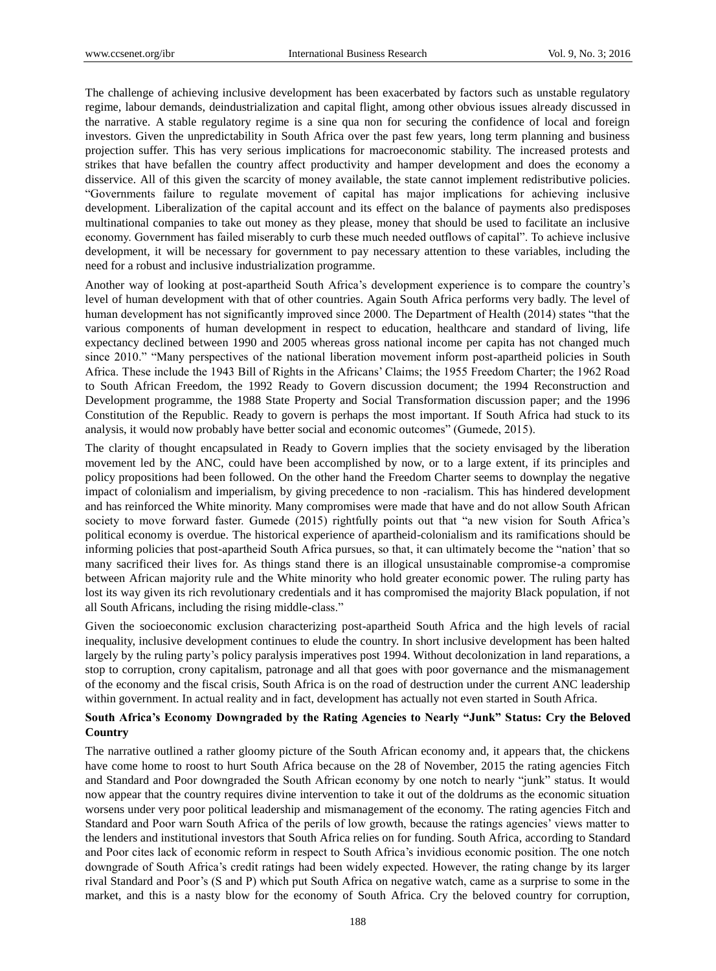The challenge of achieving inclusive development has been exacerbated by factors such as unstable regulatory regime, labour demands, deindustrialization and capital flight, among other obvious issues already discussed in the narrative. A stable regulatory regime is a sine qua non for securing the confidence of local and foreign investors. Given the unpredictability in South Africa over the past few years, long term planning and business projection suffer. This has very serious implications for macroeconomic stability. The increased protests and strikes that have befallen the country affect productivity and hamper development and does the economy a disservice. All of this given the scarcity of money available, the state cannot implement redistributive policies. "Governments failure to regulate movement of capital has major implications for achieving inclusive development. Liberalization of the capital account and its effect on the balance of payments also predisposes multinational companies to take out money as they please, money that should be used to facilitate an inclusive economy. Government has failed miserably to curb these much needed outflows of capital". To achieve inclusive development, it will be necessary for government to pay necessary attention to these variables, including the need for a robust and inclusive industrialization programme.

Another way of looking at post-apartheid South Africa's development experience is to compare the country's level of human development with that of other countries. Again South Africa performs very badly. The level of human development has not significantly improved since 2000. The Department of Health (2014) states "that the various components of human development in respect to education, healthcare and standard of living, life expectancy declined between 1990 and 2005 whereas gross national income per capita has not changed much since 2010." "Many perspectives of the national liberation movement inform post-apartheid policies in South Africa. These include the 1943 Bill of Rights in the Africans' Claims; the 1955 Freedom Charter; the 1962 Road to South African Freedom, the 1992 Ready to Govern discussion document; the 1994 Reconstruction and Development programme, the 1988 State Property and Social Transformation discussion paper; and the 1996 Constitution of the Republic. Ready to govern is perhaps the most important. If South Africa had stuck to its analysis, it would now probably have better social and economic outcomes" (Gumede, 2015).

The clarity of thought encapsulated in Ready to Govern implies that the society envisaged by the liberation movement led by the ANC, could have been accomplished by now, or to a large extent, if its principles and policy propositions had been followed. On the other hand the Freedom Charter seems to downplay the negative impact of colonialism and imperialism, by giving precedence to non -racialism. This has hindered development and has reinforced the White minority. Many compromises were made that have and do not allow South African society to move forward faster. Gumede (2015) rightfully points out that "a new vision for South Africa's political economy is overdue. The historical experience of apartheid-colonialism and its ramifications should be informing policies that post-apartheid South Africa pursues, so that, it can ultimately become the "nation' that so many sacrificed their lives for. As things stand there is an illogical unsustainable compromise-a compromise between African majority rule and the White minority who hold greater economic power. The ruling party has lost its way given its rich revolutionary credentials and it has compromised the majority Black population, if not all South Africans, including the rising middle-class."

Given the socioeconomic exclusion characterizing post-apartheid South Africa and the high levels of racial inequality, inclusive development continues to elude the country. In short inclusive development has been halted largely by the ruling party's policy paralysis imperatives post 1994. Without decolonization in land reparations, a stop to corruption, crony capitalism, patronage and all that goes with poor governance and the mismanagement of the economy and the fiscal crisis, South Africa is on the road of destruction under the current ANC leadership within government. In actual reality and in fact, development has actually not even started in South Africa.

## **South Africa's Economy Downgraded by the Rating Agencies to Nearly "Junk" Status: Cry the Beloved Country**

The narrative outlined a rather gloomy picture of the South African economy and, it appears that, the chickens have come home to roost to hurt South Africa because on the 28 of November, 2015 the rating agencies Fitch and Standard and Poor downgraded the South African economy by one notch to nearly "junk" status. It would now appear that the country requires divine intervention to take it out of the doldrums as the economic situation worsens under very poor political leadership and mismanagement of the economy. The rating agencies Fitch and Standard and Poor warn South Africa of the perils of low growth, because the ratings agencies' views matter to the lenders and institutional investors that South Africa relies on for funding. South Africa, according to Standard and Poor cites lack of economic reform in respect to South Africa's invidious economic position. The one notch downgrade of South Africa's credit ratings had been widely expected. However, the rating change by its larger rival Standard and Poor's (S and P) which put South Africa on negative watch, came as a surprise to some in the market, and this is a nasty blow for the economy of South Africa. Cry the beloved country for corruption,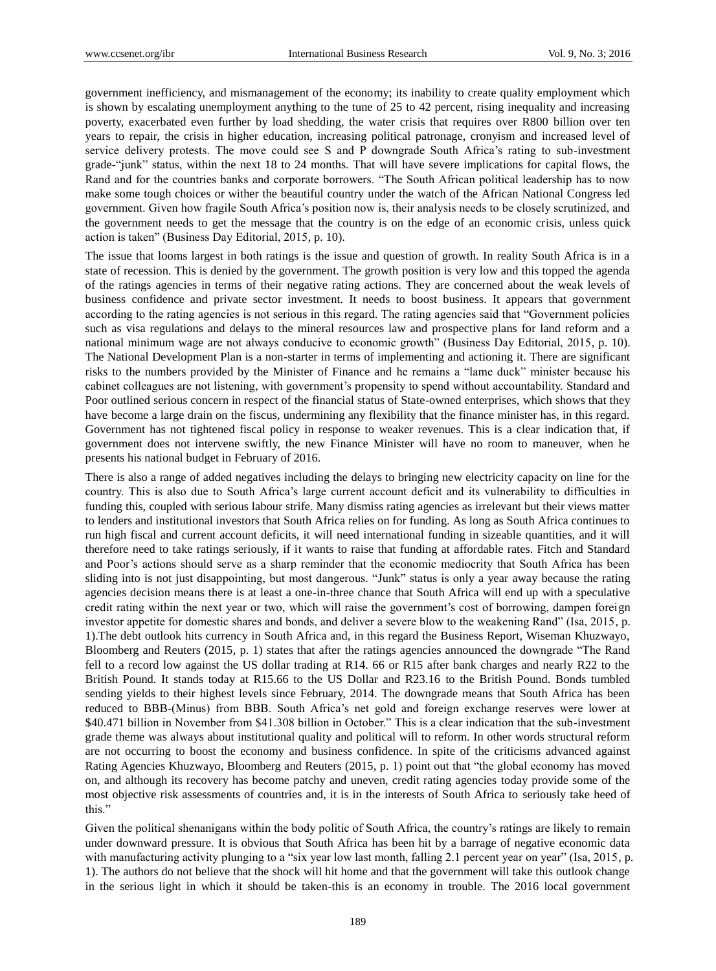government inefficiency, and mismanagement of the economy; its inability to create quality employment which is shown by escalating unemployment anything to the tune of 25 to 42 percent, rising inequality and increasing poverty, exacerbated even further by load shedding, the water crisis that requires over R800 billion over ten years to repair, the crisis in higher education, increasing political patronage, cronyism and increased level of service delivery protests. The move could see S and P downgrade South Africa's rating to sub-investment grade-"junk" status, within the next 18 to 24 months. That will have severe implications for capital flows, the Rand and for the countries banks and corporate borrowers. "The South African political leadership has to now make some tough choices or wither the beautiful country under the watch of the African National Congress led government. Given how fragile South Africa's position now is, their analysis needs to be closely scrutinized, and the government needs to get the message that the country is on the edge of an economic crisis, unless quick action is taken" (Business Day Editorial, 2015, p. 10).

The issue that looms largest in both ratings is the issue and question of growth. In reality South Africa is in a state of recession. This is denied by the government. The growth position is very low and this topped the agenda of the ratings agencies in terms of their negative rating actions. They are concerned about the weak levels of business confidence and private sector investment. It needs to boost business. It appears that government according to the rating agencies is not serious in this regard. The rating agencies said that "Government policies such as visa regulations and delays to the mineral resources law and prospective plans for land reform and a national minimum wage are not always conducive to economic growth" (Business Day Editorial, 2015, p. 10). The National Development Plan is a non-starter in terms of implementing and actioning it. There are significant risks to the numbers provided by the Minister of Finance and he remains a "lame duck" minister because his cabinet colleagues are not listening, with government's propensity to spend without accountability. Standard and Poor outlined serious concern in respect of the financial status of State-owned enterprises, which shows that they have become a large drain on the fiscus, undermining any flexibility that the finance minister has, in this regard. Government has not tightened fiscal policy in response to weaker revenues. This is a clear indication that, if government does not intervene swiftly, the new Finance Minister will have no room to maneuver, when he presents his national budget in February of 2016.

There is also a range of added negatives including the delays to bringing new electricity capacity on line for the country. This is also due to South Africa's large current account deficit and its vulnerability to difficulties in funding this, coupled with serious labour strife. Many dismiss rating agencies as irrelevant but their views matter to lenders and institutional investors that South Africa relies on for funding. As long as South Africa continues to run high fiscal and current account deficits, it will need international funding in sizeable quantities, and it will therefore need to take ratings seriously, if it wants to raise that funding at affordable rates. Fitch and Standard and Poor's actions should serve as a sharp reminder that the economic mediocrity that South Africa has been sliding into is not just disappointing, but most dangerous. "Junk" status is only a year away because the rating agencies decision means there is at least a one-in-three chance that South Africa will end up with a speculative credit rating within the next year or two, which will raise the government's cost of borrowing, dampen foreign investor appetite for domestic shares and bonds, and deliver a severe blow to the weakening Rand" (Isa, 2015, p. 1).The debt outlook hits currency in South Africa and, in this regard the Business Report, Wiseman Khuzwayo, Bloomberg and Reuters (2015, p. 1) states that after the ratings agencies announced the downgrade "The Rand fell to a record low against the US dollar trading at R14. 66 or R15 after bank charges and nearly R22 to the British Pound. It stands today at R15.66 to the US Dollar and R23.16 to the British Pound. Bonds tumbled sending yields to their highest levels since February, 2014. The downgrade means that South Africa has been reduced to BBB-(Minus) from BBB. South Africa's net gold and foreign exchange reserves were lower at \$40.471 billion in November from \$41.308 billion in October." This is a clear indication that the sub-investment grade theme was always about institutional quality and political will to reform. In other words structural reform are not occurring to boost the economy and business confidence. In spite of the criticisms advanced against Rating Agencies Khuzwayo, Bloomberg and Reuters (2015, p. 1) point out that "the global economy has moved on, and although its recovery has become patchy and uneven, credit rating agencies today provide some of the most objective risk assessments of countries and, it is in the interests of South Africa to seriously take heed of this."

Given the political shenanigans within the body politic of South Africa, the country's ratings are likely to remain under downward pressure. It is obvious that South Africa has been hit by a barrage of negative economic data with manufacturing activity plunging to a "six year low last month, falling 2.1 percent year on year" (Isa, 2015, p. 1). The authors do not believe that the shock will hit home and that the government will take this outlook change in the serious light in which it should be taken-this is an economy in trouble. The 2016 local government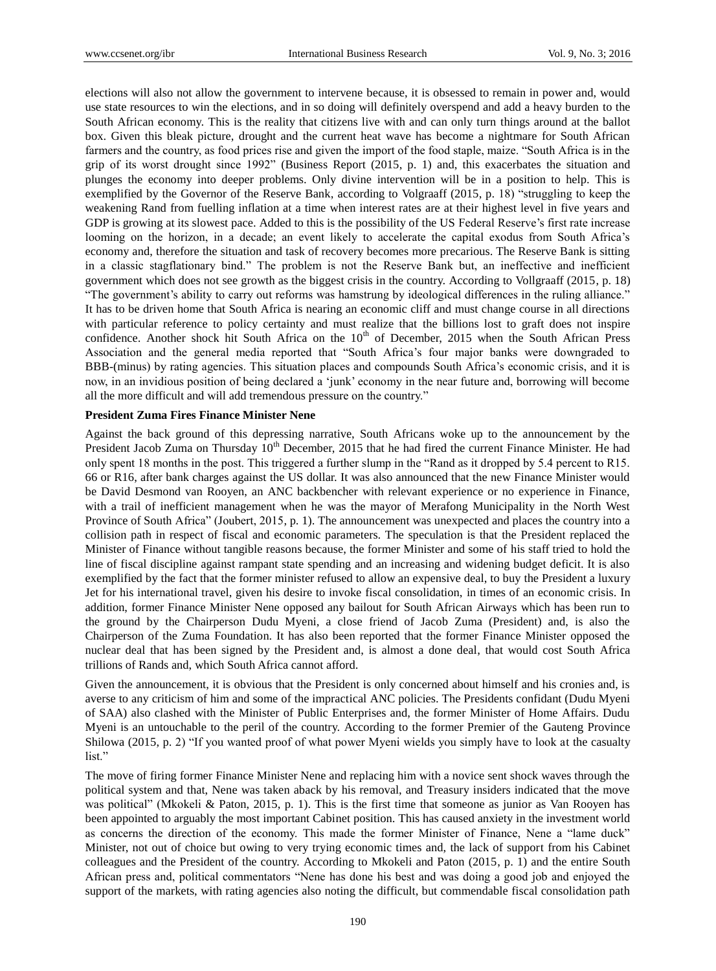elections will also not allow the government to intervene because, it is obsessed to remain in power and, would use state resources to win the elections, and in so doing will definitely overspend and add a heavy burden to the South African economy. This is the reality that citizens live with and can only turn things around at the ballot box. Given this bleak picture, drought and the current heat wave has become a nightmare for South African farmers and the country, as food prices rise and given the import of the food staple, maize. "South Africa is in the grip of its worst drought since 1992" (Business Report (2015, p. 1) and, this exacerbates the situation and plunges the economy into deeper problems. Only divine intervention will be in a position to help. This is exemplified by the Governor of the Reserve Bank, according to Volgraaff (2015, p. 18) "struggling to keep the weakening Rand from fuelling inflation at a time when interest rates are at their highest level in five years and GDP is growing at its slowest pace. Added to this is the possibility of the US Federal Reserve's first rate increase looming on the horizon, in a decade; an event likely to accelerate the capital exodus from South Africa's economy and, therefore the situation and task of recovery becomes more precarious. The Reserve Bank is sitting in a classic stagflationary bind." The problem is not the Reserve Bank but, an ineffective and inefficient government which does not see growth as the biggest crisis in the country. According to Vollgraaff (2015, p. 18) "The government's ability to carry out reforms was hamstrung by ideological differences in the ruling alliance." It has to be driven home that South Africa is nearing an economic cliff and must change course in all directions with particular reference to policy certainty and must realize that the billions lost to graft does not inspire confidence. Another shock hit South Africa on the  $10<sup>th</sup>$  of December, 2015 when the South African Press Association and the general media reported that "South Africa's four major banks were downgraded to BBB-(minus) by rating agencies. This situation places and compounds South Africa's economic crisis, and it is now, in an invidious position of being declared a 'junk' economy in the near future and, borrowing will become all the more difficult and will add tremendous pressure on the country."

#### **President Zuma Fires Finance Minister Nene**

Against the back ground of this depressing narrative, South Africans woke up to the announcement by the President Jacob Zuma on Thursday  $10<sup>th</sup>$  December, 2015 that he had fired the current Finance Minister. He had only spent 18 months in the post. This triggered a further slump in the "Rand as it dropped by 5.4 percent to R15. 66 or R16, after bank charges against the US dollar. It was also announced that the new Finance Minister would be David Desmond van Rooyen, an ANC backbencher with relevant experience or no experience in Finance, with a trail of inefficient management when he was the mayor of Merafong Municipality in the North West Province of South Africa" (Joubert, 2015, p. 1). The announcement was unexpected and places the country into a collision path in respect of fiscal and economic parameters. The speculation is that the President replaced the Minister of Finance without tangible reasons because, the former Minister and some of his staff tried to hold the line of fiscal discipline against rampant state spending and an increasing and widening budget deficit. It is also exemplified by the fact that the former minister refused to allow an expensive deal, to buy the President a luxury Jet for his international travel, given his desire to invoke fiscal consolidation, in times of an economic crisis. In addition, former Finance Minister Nene opposed any bailout for South African Airways which has been run to the ground by the Chairperson Dudu Myeni, a close friend of Jacob Zuma (President) and, is also the Chairperson of the Zuma Foundation. It has also been reported that the former Finance Minister opposed the nuclear deal that has been signed by the President and, is almost a done deal, that would cost South Africa trillions of Rands and, which South Africa cannot afford.

Given the announcement, it is obvious that the President is only concerned about himself and his cronies and, is averse to any criticism of him and some of the impractical ANC policies. The Presidents confidant (Dudu Myeni of SAA) also clashed with the Minister of Public Enterprises and, the former Minister of Home Affairs. Dudu Myeni is an untouchable to the peril of the country. According to the former Premier of the Gauteng Province Shilowa (2015, p. 2) "If you wanted proof of what power Myeni wields you simply have to look at the casualty list."

The move of firing former Finance Minister Nene and replacing him with a novice sent shock waves through the political system and that, Nene was taken aback by his removal, and Treasury insiders indicated that the move was political" (Mkokeli & Paton, 2015, p. 1). This is the first time that someone as junior as Van Rooyen has been appointed to arguably the most important Cabinet position. This has caused anxiety in the investment world as concerns the direction of the economy. This made the former Minister of Finance, Nene a "lame duck" Minister, not out of choice but owing to very trying economic times and, the lack of support from his Cabinet colleagues and the President of the country. According to Mkokeli and Paton (2015, p. 1) and the entire South African press and, political commentators "Nene has done his best and was doing a good job and enjoyed the support of the markets, with rating agencies also noting the difficult, but commendable fiscal consolidation path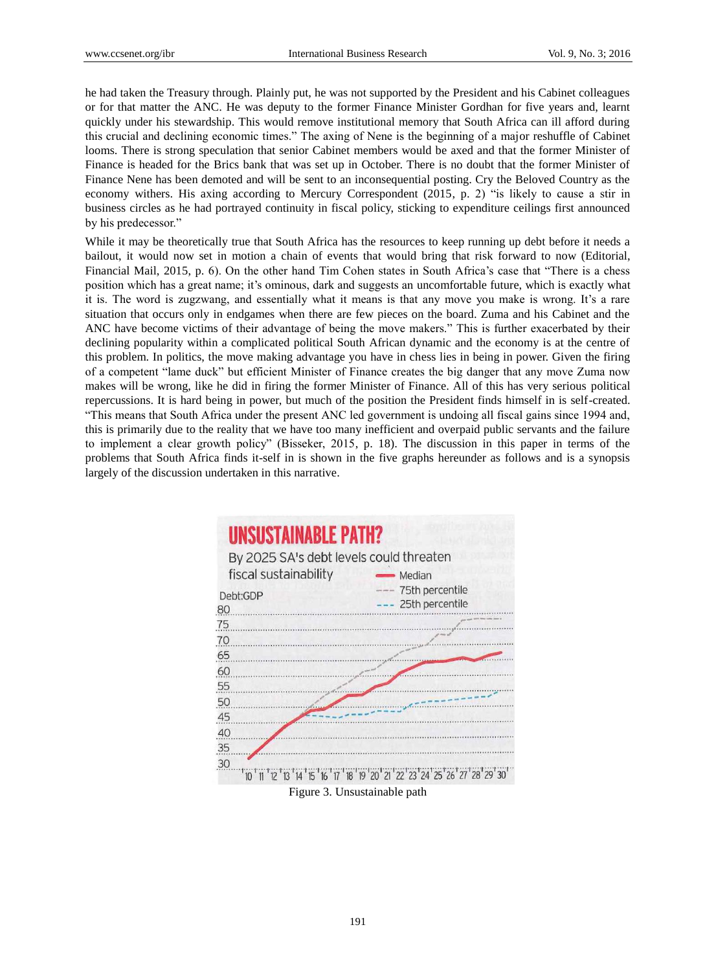he had taken the Treasury through. Plainly put, he was not supported by the President and his Cabinet colleagues or for that matter the ANC. He was deputy to the former Finance Minister Gordhan for five years and, learnt quickly under his stewardship. This would remove institutional memory that South Africa can ill afford during this crucial and declining economic times." The axing of Nene is the beginning of a major reshuffle of Cabinet looms. There is strong speculation that senior Cabinet members would be axed and that the former Minister of Finance is headed for the Brics bank that was set up in October. There is no doubt that the former Minister of Finance Nene has been demoted and will be sent to an inconsequential posting. Cry the Beloved Country as the economy withers. His axing according to Mercury Correspondent (2015, p. 2) "is likely to cause a stir in business circles as he had portrayed continuity in fiscal policy, sticking to expenditure ceilings first announced by his predecessor."

While it may be theoretically true that South Africa has the resources to keep running up debt before it needs a bailout, it would now set in motion a chain of events that would bring that risk forward to now (Editorial, Financial Mail, 2015, p. 6). On the other hand Tim Cohen states in South Africa's case that "There is a chess position which has a great name; it's ominous, dark and suggests an uncomfortable future, which is exactly what it is. The word is zugzwang, and essentially what it means is that any move you make is wrong. It's a rare situation that occurs only in endgames when there are few pieces on the board. Zuma and his Cabinet and the ANC have become victims of their advantage of being the move makers." This is further exacerbated by their declining popularity within a complicated political South African dynamic and the economy is at the centre of this problem. In politics, the move making advantage you have in chess lies in being in power. Given the firing of a competent "lame duck" but efficient Minister of Finance creates the big danger that any move Zuma now makes will be wrong, like he did in firing the former Minister of Finance. All of this has very serious political repercussions. It is hard being in power, but much of the position the President finds himself in is self-created. "This means that South Africa under the present ANC led government is undoing all fiscal gains since 1994 and, this is primarily due to the reality that we have too many inefficient and overpaid public servants and the failure to implement a clear growth policy" (Bisseker, 2015, p. 18). The discussion in this paper in terms of the problems that South Africa finds it-self in is shown in the five graphs hereunder as follows and is a synopsis largely of the discussion undertaken in this narrative.

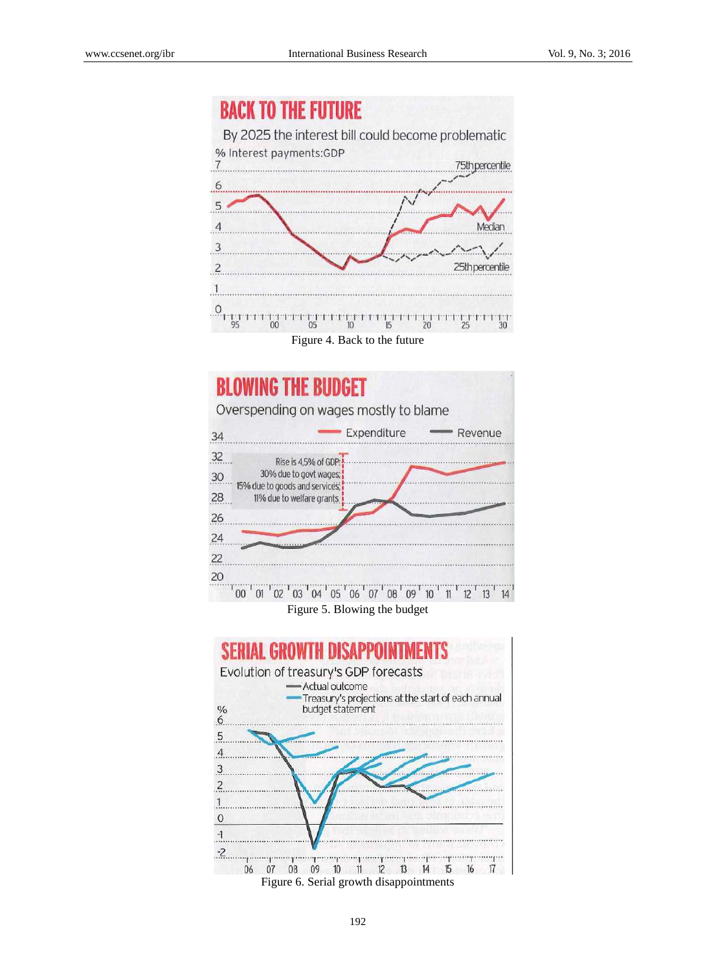# **BACK TO THE FUTURE**

By 2025 the interest bill could become problematic % Interest payments:GDP





Figure 5. Blowing the budget



Figure 6. Serial growth disappointments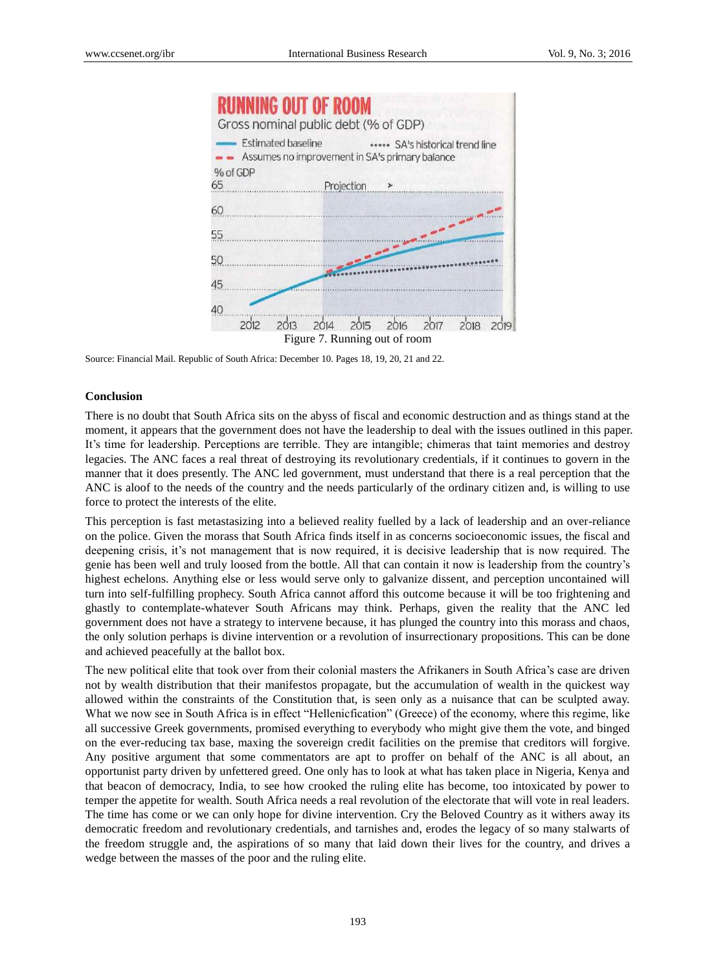

Source: Financial Mail. Republic of South Africa: December 10. Pages 18, 19, 20, 21 and 22.

#### **Conclusion**

There is no doubt that South Africa sits on the abyss of fiscal and economic destruction and as things stand at the moment, it appears that the government does not have the leadership to deal with the issues outlined in this paper. It's time for leadership. Perceptions are terrible. They are intangible; chimeras that taint memories and destroy legacies. The ANC faces a real threat of destroying its revolutionary credentials, if it continues to govern in the manner that it does presently. The ANC led government, must understand that there is a real perception that the ANC is aloof to the needs of the country and the needs particularly of the ordinary citizen and, is willing to use force to protect the interests of the elite.

This perception is fast metastasizing into a believed reality fuelled by a lack of leadership and an over-reliance on the police. Given the morass that South Africa finds itself in as concerns socioeconomic issues, the fiscal and deepening crisis, it's not management that is now required, it is decisive leadership that is now required. The genie has been well and truly loosed from the bottle. All that can contain it now is leadership from the country's highest echelons. Anything else or less would serve only to galvanize dissent, and perception uncontained will turn into self-fulfilling prophecy. South Africa cannot afford this outcome because it will be too frightening and ghastly to contemplate-whatever South Africans may think. Perhaps, given the reality that the ANC led government does not have a strategy to intervene because, it has plunged the country into this morass and chaos, the only solution perhaps is divine intervention or a revolution of insurrectionary propositions. This can be done and achieved peacefully at the ballot box.

The new political elite that took over from their colonial masters the Afrikaners in South Africa's case are driven not by wealth distribution that their manifestos propagate, but the accumulation of wealth in the quickest way allowed within the constraints of the Constitution that, is seen only as a nuisance that can be sculpted away. What we now see in South Africa is in effect "Hellenicfication" (Greece) of the economy, where this regime, like all successive Greek governments, promised everything to everybody who might give them the vote, and binged on the ever-reducing tax base, maxing the sovereign credit facilities on the premise that creditors will forgive. Any positive argument that some commentators are apt to proffer on behalf of the ANC is all about, an opportunist party driven by unfettered greed. One only has to look at what has taken place in Nigeria, Kenya and that beacon of democracy, India, to see how crooked the ruling elite has become, too intoxicated by power to temper the appetite for wealth. South Africa needs a real revolution of the electorate that will vote in real leaders. The time has come or we can only hope for divine intervention. Cry the Beloved Country as it withers away its democratic freedom and revolutionary credentials, and tarnishes and, erodes the legacy of so many stalwarts of the freedom struggle and, the aspirations of so many that laid down their lives for the country, and drives a wedge between the masses of the poor and the ruling elite.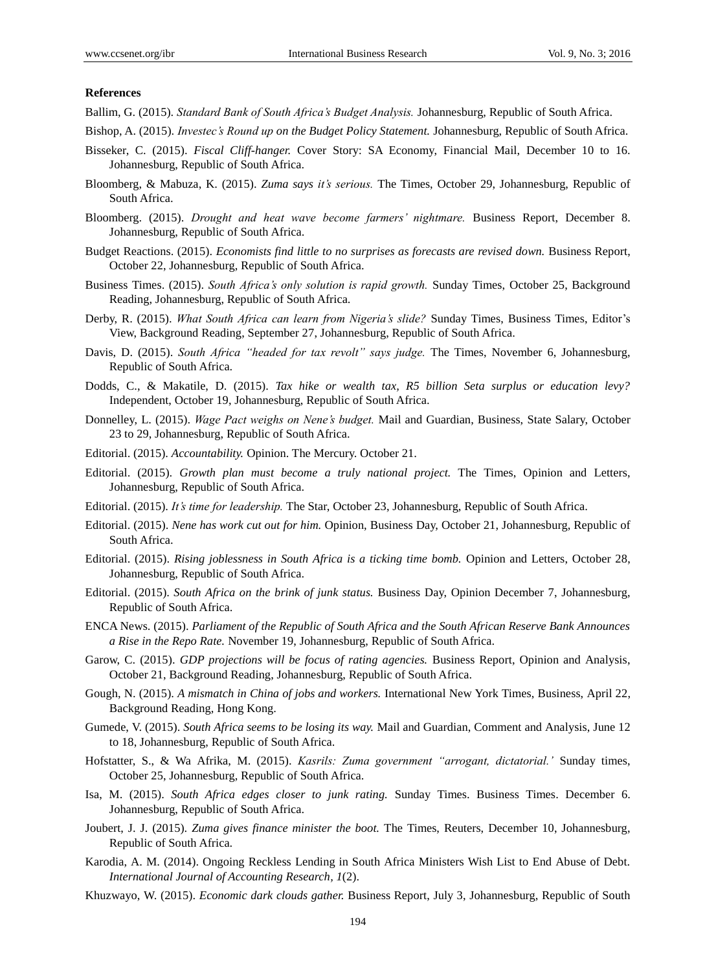#### **References**

- Ballim, G. (2015). *Standard Bank of South Africa's Budget Analysis.* Johannesburg, Republic of South Africa.
- Bishop, A. (2015). *Investec's Round up on the Budget Policy Statement.* Johannesburg, Republic of South Africa.
- Bisseker, C. (2015). *Fiscal Cliff-hanger.* Cover Story: SA Economy, Financial Mail, December 10 to 16. Johannesburg, Republic of South Africa.
- Bloomberg, & Mabuza, K. (2015). *Zuma says it's serious.* The Times, October 29, Johannesburg, Republic of South Africa.
- Bloomberg. (2015). *Drought and heat wave become farmers' nightmare.* Business Report, December 8. Johannesburg, Republic of South Africa.
- Budget Reactions. (2015). *Economists find little to no surprises as forecasts are revised down.* Business Report, October 22, Johannesburg, Republic of South Africa.
- Business Times. (2015). *South Africa's only solution is rapid growth.* Sunday Times, October 25, Background Reading, Johannesburg, Republic of South Africa.
- Derby, R. (2015). *What South Africa can learn from Nigeria's slide?* Sunday Times, Business Times, Editor's View, Background Reading, September 27, Johannesburg, Republic of South Africa.
- Davis, D. (2015). *South Africa "headed for tax revolt" says judge.* The Times, November 6, Johannesburg, Republic of South Africa.
- Dodds, C., & Makatile, D. (2015). *Tax hike or wealth tax, R5 billion Seta surplus or education levy?*  Independent, October 19, Johannesburg, Republic of South Africa.
- Donnelley, L. (2015). *Wage Pact weighs on Nene's budget.* Mail and Guardian, Business, State Salary, October 23 to 29, Johannesburg, Republic of South Africa.
- Editorial. (2015). *Accountability.* Opinion. The Mercury. October 21.
- Editorial. (2015). *Growth plan must become a truly national project.* The Times, Opinion and Letters, Johannesburg, Republic of South Africa.
- Editorial. (2015). *It's time for leadership.* The Star, October 23, Johannesburg, Republic of South Africa.
- Editorial. (2015). *Nene has work cut out for him.* Opinion, Business Day, October 21, Johannesburg, Republic of South Africa.
- Editorial. (2015). *Rising joblessness in South Africa is a ticking time bomb.* Opinion and Letters, October 28, Johannesburg, Republic of South Africa.
- Editorial. (2015). *South Africa on the brink of junk status.* Business Day, Opinion December 7, Johannesburg, Republic of South Africa.
- ENCA News. (2015). *Parliament of the Republic of South Africa and the South African Reserve Bank Announces a Rise in the Repo Rate.* November 19, Johannesburg, Republic of South Africa.
- Garow, C. (2015). *GDP projections will be focus of rating agencies.* Business Report, Opinion and Analysis, October 21, Background Reading, Johannesburg, Republic of South Africa.
- Gough, N. (2015). *A mismatch in China of jobs and workers.* International New York Times, Business, April 22, Background Reading, Hong Kong.
- Gumede, V. (2015). *South Africa seems to be losing its way.* Mail and Guardian, Comment and Analysis, June 12 to 18, Johannesburg, Republic of South Africa.
- Hofstatter, S., & Wa Afrika, M. (2015). *Kasrils: Zuma government "arrogant, dictatorial.'* Sunday times, October 25, Johannesburg, Republic of South Africa.
- Isa, M. (2015). *South Africa edges closer to junk rating.* Sunday Times. Business Times. December 6. Johannesburg, Republic of South Africa.
- Joubert, J. J. (2015). *Zuma gives finance minister the boot.* The Times, Reuters, December 10, Johannesburg, Republic of South Africa.
- Karodia, A. M. (2014). Ongoing Reckless Lending in South Africa Ministers Wish List to End Abuse of Debt. *International Journal of Accounting Research, 1*(2).
- Khuzwayo, W. (2015). *Economic dark clouds gather.* Business Report, July 3, Johannesburg, Republic of South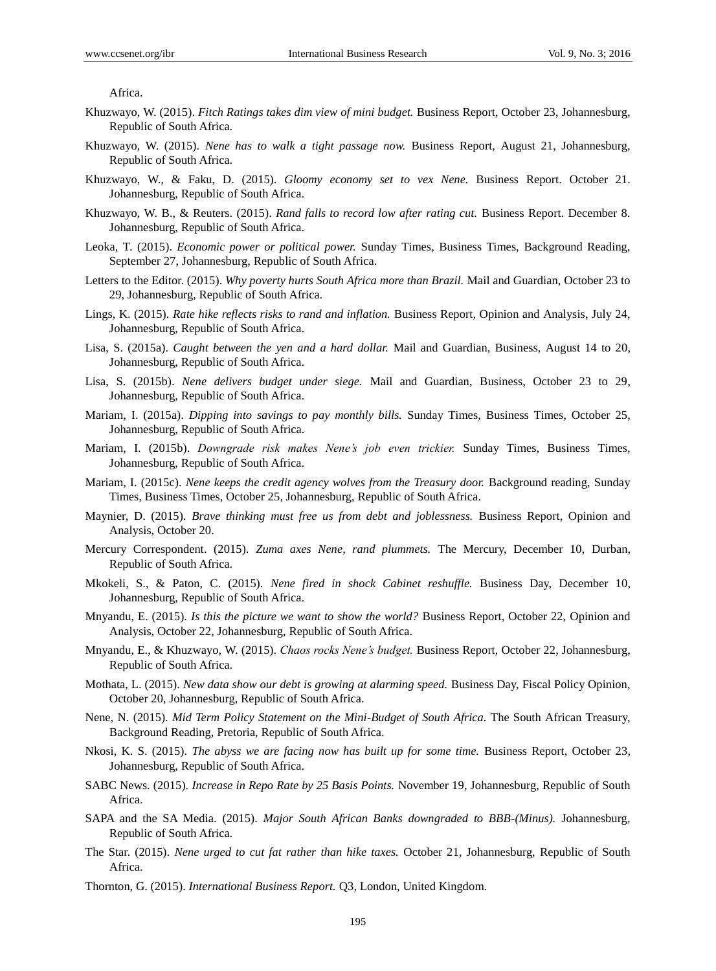Africa.

- Khuzwayo, W. (2015). *Fitch Ratings takes dim view of mini budget.* Business Report, October 23, Johannesburg, Republic of South Africa.
- Khuzwayo, W. (2015). *Nene has to walk a tight passage now.* Business Report, August 21, Johannesburg, Republic of South Africa.
- Khuzwayo, W., & Faku, D. (2015). *Gloomy economy set to vex Nene.* Business Report. October 21. Johannesburg, Republic of South Africa.
- Khuzwayo, W. B., & Reuters. (2015). *Rand falls to record low after rating cut.* Business Report. December 8. Johannesburg, Republic of South Africa.
- Leoka, T. (2015). *Economic power or political power.* Sunday Times, Business Times, Background Reading, September 27, Johannesburg, Republic of South Africa.
- Letters to the Editor. (2015). *Why poverty hurts South Africa more than Brazil.* Mail and Guardian, October 23 to 29, Johannesburg, Republic of South Africa.
- Lings, K. (2015). *Rate hike reflects risks to rand and inflation.* Business Report, Opinion and Analysis, July 24, Johannesburg, Republic of South Africa.
- Lisa, S. (2015a). *Caught between the yen and a hard dollar.* Mail and Guardian, Business, August 14 to 20, Johannesburg, Republic of South Africa.
- Lisa, S. (2015b). *Nene delivers budget under siege.* Mail and Guardian, Business, October 23 to 29, Johannesburg, Republic of South Africa.
- Mariam, I. (2015a). *Dipping into savings to pay monthly bills.* Sunday Times, Business Times, October 25, Johannesburg, Republic of South Africa.
- Mariam, I. (2015b). *Downgrade risk makes Nene's job even trickier.* Sunday Times, Business Times, Johannesburg, Republic of South Africa.
- Mariam, I. (2015c). *Nene keeps the credit agency wolves from the Treasury door.* Background reading, Sunday Times, Business Times, October 25, Johannesburg, Republic of South Africa.
- Maynier, D. (2015). *Brave thinking must free us from debt and joblessness.* Business Report, Opinion and Analysis, October 20.
- Mercury Correspondent. (2015). *Zuma axes Nene, rand plummets.* The Mercury, December 10, Durban, Republic of South Africa.
- Mkokeli, S., & Paton, C. (2015). *Nene fired in shock Cabinet reshuffle.* Business Day, December 10, Johannesburg, Republic of South Africa.
- Mnyandu, E. (2015). *Is this the picture we want to show the world?* Business Report, October 22, Opinion and Analysis, October 22, Johannesburg, Republic of South Africa.
- Mnyandu, E., & Khuzwayo, W. (2015). *Chaos rocks Nene's budget.* Business Report, October 22, Johannesburg, Republic of South Africa.
- Mothata, L. (2015). *New data show our debt is growing at alarming speed.* Business Day, Fiscal Policy Opinion, October 20, Johannesburg, Republic of South Africa.
- Nene, N. (2015). *Mid Term Policy Statement on the Mini-Budget of South Africa.* The South African Treasury, Background Reading, Pretoria, Republic of South Africa.
- Nkosi, K. S. (2015). *The abyss we are facing now has built up for some time.* Business Report, October 23, Johannesburg, Republic of South Africa.
- SABC News. (2015). *Increase in Repo Rate by 25 Basis Points.* November 19, Johannesburg, Republic of South Africa.
- SAPA and the SA Media. (2015). *Major South African Banks downgraded to BBB-(Minus).* Johannesburg, Republic of South Africa.
- The Star. (2015). *Nene urged to cut fat rather than hike taxes.* October 21, Johannesburg, Republic of South Africa.
- Thornton, G. (2015). *International Business Report.* Q3, London, United Kingdom.